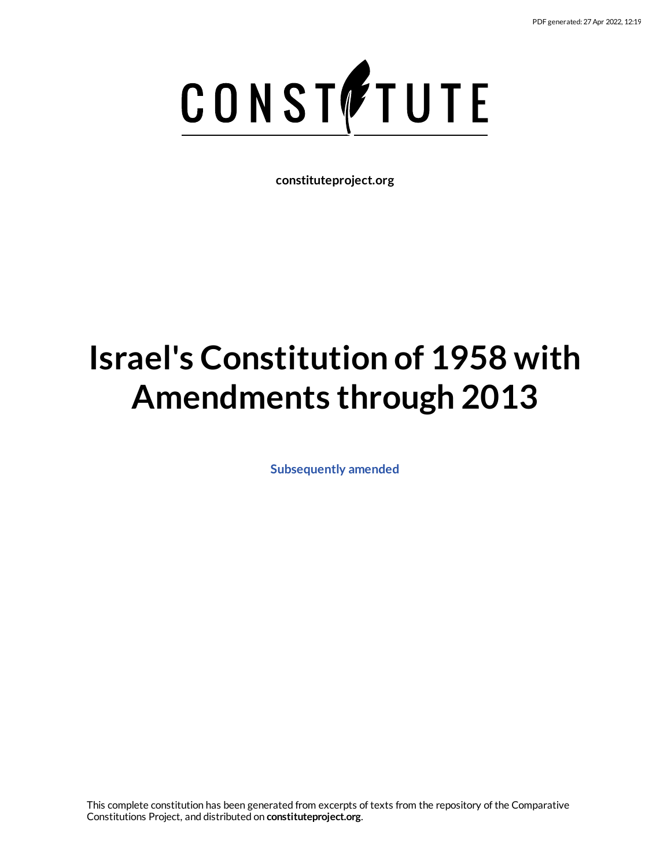

**constituteproject.org**

# **Israel's Constitution of 1958 with Amendments through 2013**

**[Subsequently](https://www.constituteproject.org/Asia/Israel_2013?lang=en) amended**

This complete constitution has been generated from excerpts of texts from the repository of the Comparative Constitutions Project, and distributed on **constituteproject.org**.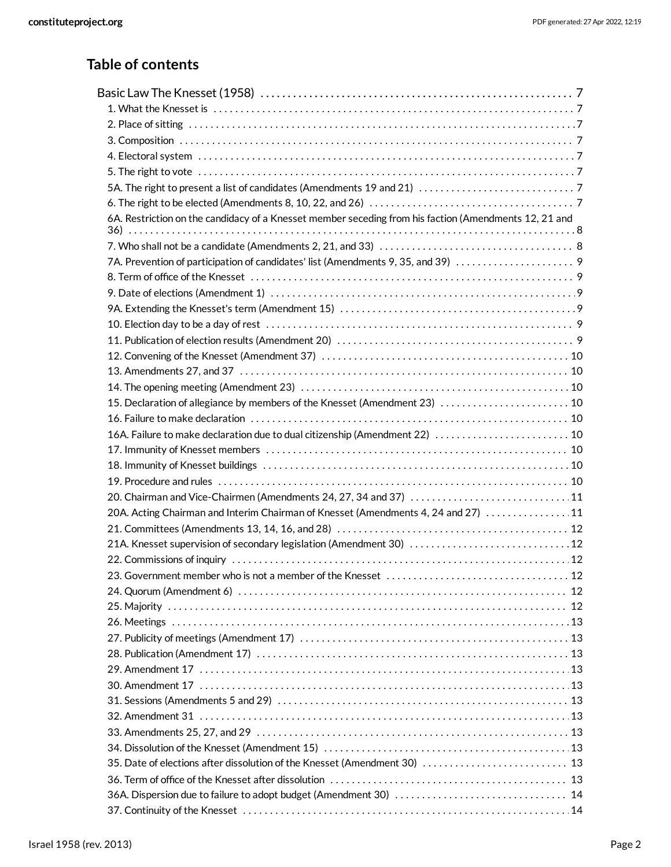### **Table of contents**

| 6A. Restriction on the candidacy of a Knesset member seceding from his faction (Amendments 12, 21 and |  |
|-------------------------------------------------------------------------------------------------------|--|
|                                                                                                       |  |
| 7A. Prevention of participation of candidates' list (Amendments 9, 35, and 39)                        |  |
|                                                                                                       |  |
|                                                                                                       |  |
|                                                                                                       |  |
|                                                                                                       |  |
|                                                                                                       |  |
|                                                                                                       |  |
|                                                                                                       |  |
|                                                                                                       |  |
| 15. Declaration of allegiance by members of the Knesset (Amendment 23)  10                            |  |
|                                                                                                       |  |
| 16A. Failure to make declaration due to dual citizenship (Amendment 22)  10                           |  |
|                                                                                                       |  |
|                                                                                                       |  |
|                                                                                                       |  |
| 20. Chairman and Vice-Chairmen (Amendments 24, 27, 34 and 37)  11                                     |  |
| 20A. Acting Chairman and Interim Chairman of Knesset (Amendments 4, 24 and 27)  11                    |  |
|                                                                                                       |  |
| 21A. Knesset supervision of secondary legislation (Amendment 30)  12                                  |  |
|                                                                                                       |  |
|                                                                                                       |  |
|                                                                                                       |  |
|                                                                                                       |  |
|                                                                                                       |  |
|                                                                                                       |  |
|                                                                                                       |  |
|                                                                                                       |  |
|                                                                                                       |  |
|                                                                                                       |  |
|                                                                                                       |  |
|                                                                                                       |  |
|                                                                                                       |  |
| 35. Date of elections after dissolution of the Knesset (Amendment 30)  13                             |  |
|                                                                                                       |  |
|                                                                                                       |  |
|                                                                                                       |  |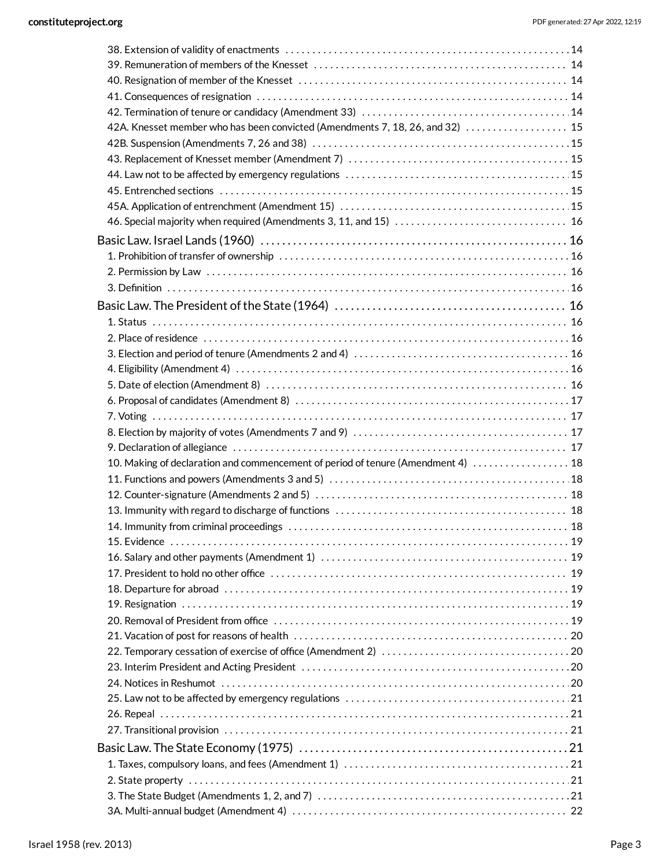| 42A. Knesset member who has been convicted (Amendments 7, 18, 26, and 32)  15    |  |
|----------------------------------------------------------------------------------|--|
|                                                                                  |  |
|                                                                                  |  |
|                                                                                  |  |
|                                                                                  |  |
|                                                                                  |  |
|                                                                                  |  |
|                                                                                  |  |
|                                                                                  |  |
|                                                                                  |  |
|                                                                                  |  |
|                                                                                  |  |
|                                                                                  |  |
|                                                                                  |  |
|                                                                                  |  |
|                                                                                  |  |
|                                                                                  |  |
|                                                                                  |  |
|                                                                                  |  |
|                                                                                  |  |
|                                                                                  |  |
|                                                                                  |  |
| 10. Making of declaration and commencement of period of tenure (Amendment 4)  18 |  |
|                                                                                  |  |
|                                                                                  |  |
|                                                                                  |  |
|                                                                                  |  |
|                                                                                  |  |
|                                                                                  |  |
|                                                                                  |  |
|                                                                                  |  |
|                                                                                  |  |
|                                                                                  |  |
|                                                                                  |  |
|                                                                                  |  |
|                                                                                  |  |
|                                                                                  |  |
|                                                                                  |  |
|                                                                                  |  |
|                                                                                  |  |
|                                                                                  |  |
|                                                                                  |  |
|                                                                                  |  |
|                                                                                  |  |
|                                                                                  |  |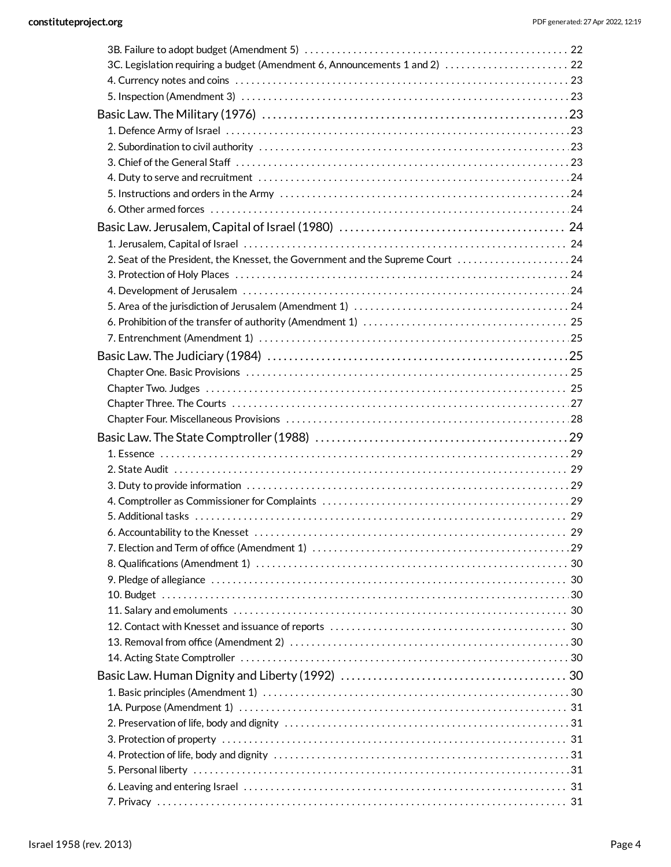| 3C. Legislation requiring a budget (Amendment 6, Announcements 1 and 2)  22     |  |
|---------------------------------------------------------------------------------|--|
|                                                                                 |  |
|                                                                                 |  |
|                                                                                 |  |
|                                                                                 |  |
|                                                                                 |  |
|                                                                                 |  |
|                                                                                 |  |
|                                                                                 |  |
|                                                                                 |  |
|                                                                                 |  |
|                                                                                 |  |
| 2. Seat of the President, the Knesset, the Government and the Supreme Court  24 |  |
|                                                                                 |  |
|                                                                                 |  |
|                                                                                 |  |
|                                                                                 |  |
|                                                                                 |  |
|                                                                                 |  |
|                                                                                 |  |
|                                                                                 |  |
|                                                                                 |  |
|                                                                                 |  |
|                                                                                 |  |
|                                                                                 |  |
|                                                                                 |  |
|                                                                                 |  |
|                                                                                 |  |
|                                                                                 |  |
|                                                                                 |  |
|                                                                                 |  |
|                                                                                 |  |
|                                                                                 |  |
|                                                                                 |  |
|                                                                                 |  |
|                                                                                 |  |
|                                                                                 |  |
|                                                                                 |  |
|                                                                                 |  |
|                                                                                 |  |
|                                                                                 |  |
|                                                                                 |  |
|                                                                                 |  |
|                                                                                 |  |
|                                                                                 |  |
|                                                                                 |  |
|                                                                                 |  |
|                                                                                 |  |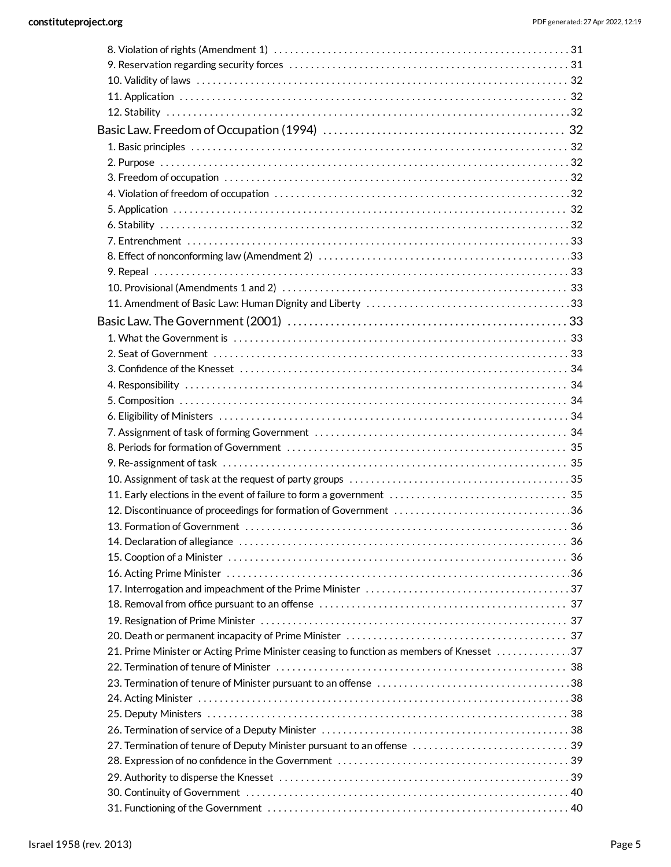| 21. Prime Minister or Acting Prime Minister ceasing to function as members of Knesset 37 |  |
|------------------------------------------------------------------------------------------|--|
|                                                                                          |  |
|                                                                                          |  |
|                                                                                          |  |
|                                                                                          |  |
|                                                                                          |  |
|                                                                                          |  |
|                                                                                          |  |
|                                                                                          |  |
|                                                                                          |  |
|                                                                                          |  |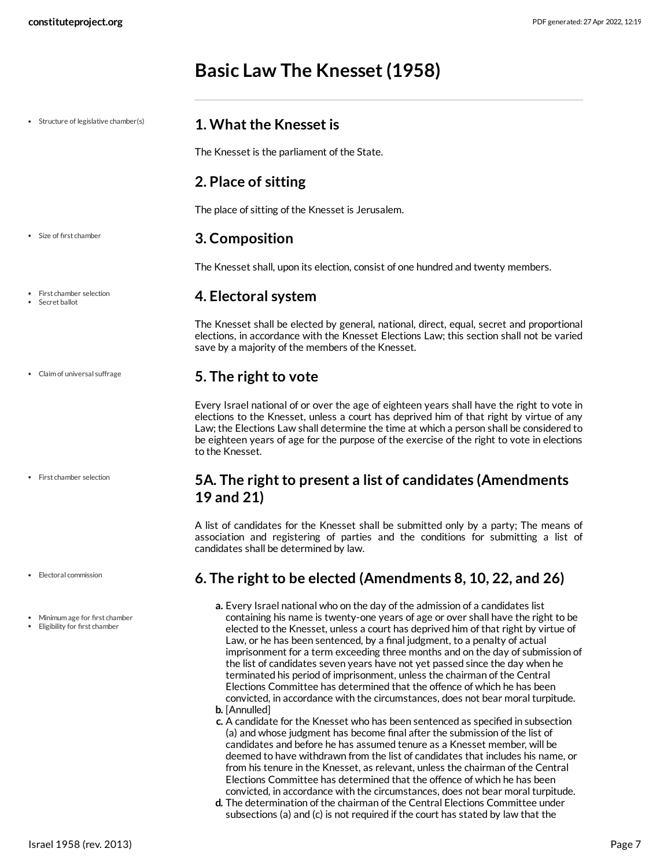## <span id="page-6-5"></span><span id="page-6-4"></span><span id="page-6-3"></span><span id="page-6-2"></span><span id="page-6-1"></span><span id="page-6-0"></span>**Basic Law The Knesset (1958)**

| • Structure of legislative chamber(s)                          | 1. What the Knesset is                                                                                                                                                                                                                                                                                                                                                                                                                                                                                                                                                                                                                                                                                                                                                |
|----------------------------------------------------------------|-----------------------------------------------------------------------------------------------------------------------------------------------------------------------------------------------------------------------------------------------------------------------------------------------------------------------------------------------------------------------------------------------------------------------------------------------------------------------------------------------------------------------------------------------------------------------------------------------------------------------------------------------------------------------------------------------------------------------------------------------------------------------|
|                                                                | The Knesset is the parliament of the State.                                                                                                                                                                                                                                                                                                                                                                                                                                                                                                                                                                                                                                                                                                                           |
|                                                                | 2. Place of sitting                                                                                                                                                                                                                                                                                                                                                                                                                                                                                                                                                                                                                                                                                                                                                   |
|                                                                | The place of sitting of the Knesset is Jerusalem.                                                                                                                                                                                                                                                                                                                                                                                                                                                                                                                                                                                                                                                                                                                     |
| Size of first chamber                                          | 3. Composition                                                                                                                                                                                                                                                                                                                                                                                                                                                                                                                                                                                                                                                                                                                                                        |
|                                                                | The Knesset shall, upon its election, consist of one hundred and twenty members.                                                                                                                                                                                                                                                                                                                                                                                                                                                                                                                                                                                                                                                                                      |
| First chamber selection<br>Secret ballot                       | 4. Electoral system                                                                                                                                                                                                                                                                                                                                                                                                                                                                                                                                                                                                                                                                                                                                                   |
|                                                                | The Knesset shall be elected by general, national, direct, equal, secret and proportional<br>elections, in accordance with the Knesset Elections Law; this section shall not be varied<br>save by a majority of the members of the Knesset.                                                                                                                                                                                                                                                                                                                                                                                                                                                                                                                           |
| Claim of universal suffrage                                    | 5. The right to vote                                                                                                                                                                                                                                                                                                                                                                                                                                                                                                                                                                                                                                                                                                                                                  |
|                                                                | Every Israel national of or over the age of eighteen years shall have the right to vote in<br>elections to the Knesset, unless a court has deprived him of that right by virtue of any<br>Law; the Elections Law shall determine the time at which a person shall be considered to<br>be eighteen years of age for the purpose of the exercise of the right to vote in elections<br>to the Knesset.                                                                                                                                                                                                                                                                                                                                                                   |
| First chamber selection                                        | 5A. The right to present a list of candidates (Amendments<br>19 and 21)                                                                                                                                                                                                                                                                                                                                                                                                                                                                                                                                                                                                                                                                                               |
|                                                                | A list of candidates for the Knesset shall be submitted only by a party; The means of<br>association and registering of parties and the conditions for submitting a list of<br>candidates shall be determined by law.                                                                                                                                                                                                                                                                                                                                                                                                                                                                                                                                                 |
| • Electoral commission                                         | 6. The right to be elected (Amendments 8, 10, 22, and 26)                                                                                                                                                                                                                                                                                                                                                                                                                                                                                                                                                                                                                                                                                                             |
| Minimum age for first chamber<br>Eligibility for first chamber | a. Every Israel national who on the day of the admission of a candidates list<br>containing his name is twenty-one years of age or over shall have the right to be<br>elected to the Knesset, unless a court has deprived him of that right by virtue of<br>Law, or he has been sentenced, by a final judgment, to a penalty of actual<br>imprisonment for a term exceeding three months and on the day of submission of<br>the list of candidates seven years have not yet passed since the day when he<br>terminated his period of imprisonment, unless the chairman of the Central<br>Elections Committee has determined that the offence of which he has been<br>convicted, in accordance with the circumstances, does not bear moral turpitude.<br>b. [Annulled] |

- <span id="page-6-7"></span><span id="page-6-6"></span>**c.** A candidate for the Knesset who has been sentenced as specified in subsection (a) and whose judgment has become final after the submission of the list of candidates and before he has assumed tenure as a Knesset member, will be deemed to have withdrawn from the list of candidates that includes his name, or from his tenure in the Knesset, as relevant, unless the chairman of the Central Elections Committee has determined that the offence of which he has been convicted, in accordance with the circumstances, does not bear moral turpitude.
- **d.** The determination of the chairman of the Central Elections Committee under subsections (a) and (c) is not required if the court has stated by law that the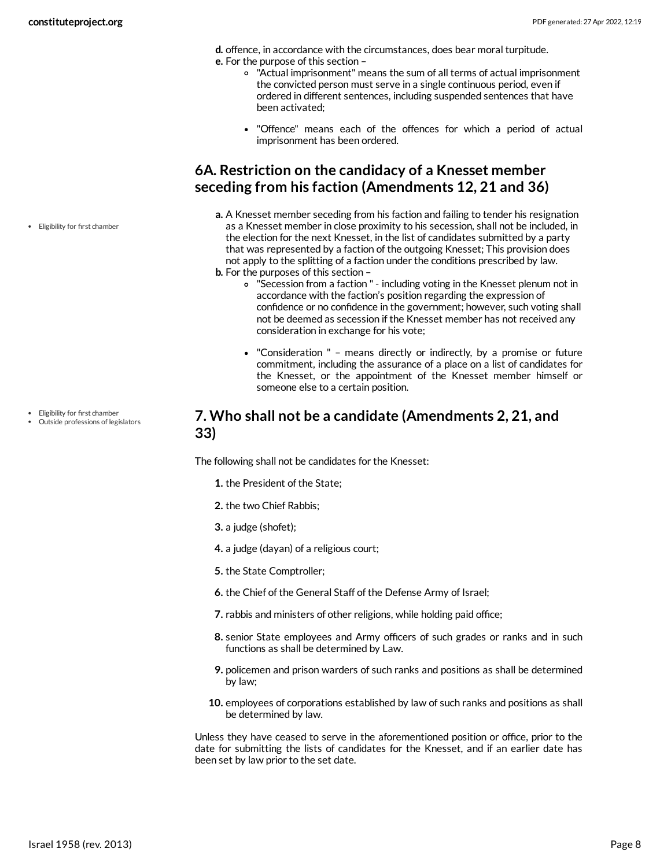- **d.** offence, in accordance with the circumstances, does bear moral turpitude.
- **e.** For the purpose of this section
	- "Actual imprisonment" means the sum of all terms of actual imprisonment the convicted person must serve in a single continuous period, even if ordered in different sentences, including suspended sentences that have been activated;
	- "Offence" means each of the offences for which a period of actual imprisonment has been ordered.

### <span id="page-7-0"></span>**6A. Restriction on the candidacy of a Knesset member seceding from his faction (Amendments 12, 21 and 36)**

- **a.** A Knesset member seceding from his faction and failing to tender his resignation as a Knesset member in close proximity to his secession, shall not be included, in the election for the next Knesset, in the list of candidates submitted by a party that was represented by a faction of the outgoing Knesset; This provision does not apply to the splitting of a faction under the conditions prescribed by law. **b.** For the purposes of this section –
- - "Secession from a faction " including voting in the Knesset plenum not in accordance with the faction's position regarding the expression of confidence or no confidence in the government; however, such voting shall not be deemed as secession if the Knesset member has not received any consideration in exchange for his vote;
	- "Consideration " means directly or indirectly, by a promise or future commitment, including the assurance of a place on a list of candidates for the Knesset, or the appointment of the Knesset member himself or someone else to a certain position.

### <span id="page-7-1"></span>**7. Who shall not be a candidate (Amendments 2, 21, and 33)**

The following shall not be candidates for the Knesset:

- **1.** the President of the State;
- **2.** the two Chief Rabbis;
- **3.** a judge (shofet);
- **4.** a judge (dayan) of a religious court;
- **5.** the State Comptroller;
- **6.** the Chief of the General Staff of the Defense Army of Israel;
- **7.** rabbis and ministers of other religions, while holding paid office;
- **8.** senior State employees and Army officers of such grades or ranks and in such functions as shall be determined by Law.
- **9.** policemen and prison warders of such ranks and positions as shall be determined by law;
- **10.** employees of corporations established by law of such ranks and positions as shall be determined by law.

<span id="page-7-2"></span>Unless they have ceased to serve in the aforementioned position or office, prior to the date for submitting the lists of candidates for the Knesset, and if an earlier date has been set by law prior to the set date.

Eligibility for first chamber

- Eligibility for first chamber
- Outside professions of legislators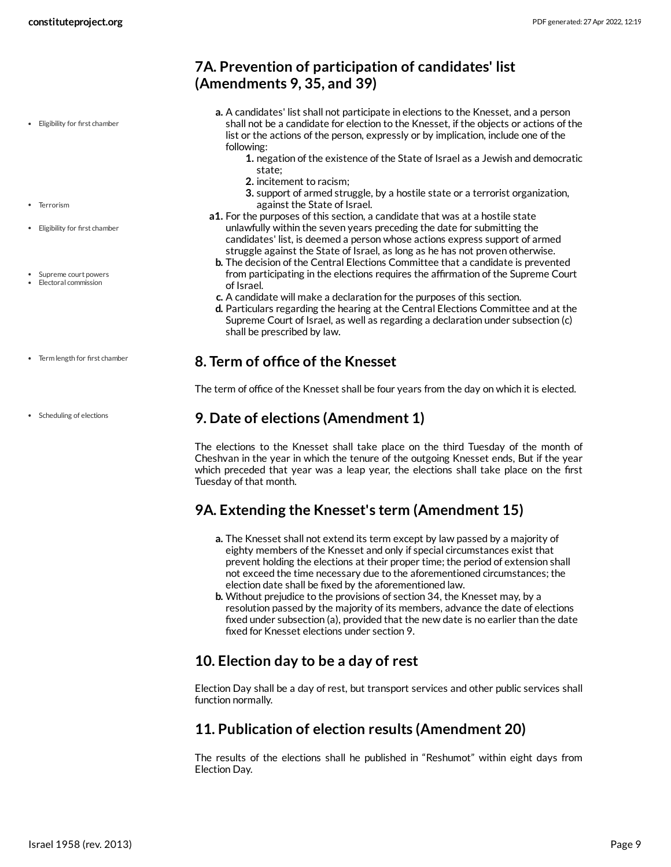### <span id="page-8-0"></span>**7A. Prevention of participation of candidates' list (Amendments 9, 35, and 39)**

- **a.** A candidates' list shall not participate in elections to the Knesset, and a person shall not be a candidate for election to the Knesset, if the objects or actions of the list or the actions of the person, expressly or by implication, include one of the following:
	- **1.** negation of the existence of the State of Israel as a Jewish and democratic state;
	- **2.** incitement to racism;
	- **3.** support of armed struggle, by a hostile state or a terrorist organization, against the State of Israel.
- **a1.** For the purposes of this section, a candidate that was at a hostile state unlawfully within the seven years preceding the date for submitting the candidates' list, is deemed a person whose actions express support of armed struggle against the State of Israel, as long as he has not proven otherwise.
- **b.** The decision of the Central Elections Committee that a candidate is prevented from participating in the elections requires the affirmation of the Supreme Court of Israel.
- **c.** A candidate will make a declaration for the purposes of this section.
- **d.** Particulars regarding the hearing at the Central Elections Committee and at the Supreme Court of Israel, as well as regarding a declaration under subsection (c) shall be prescribed by law.

### <span id="page-8-1"></span>**8. Term of office of the Knesset**

The term of office of the Knesset shall be four years from the day on which it is elected.

### <span id="page-8-2"></span>**9. Date of elections (Amendment 1)**

The elections to the Knesset shall take place on the third Tuesday of the month of Cheshvan in the year in which the tenure of the outgoing Knesset ends, But if the year which preceded that year was a leap year, the elections shall take place on the first Tuesday of that month.

### <span id="page-8-3"></span>**9A. Extending the Knesset's term (Amendment 15)**

- **a.** The Knesset shall not extend its term except by law passed by a majority of eighty members of the Knesset and only if special circumstances exist that prevent holding the elections at their proper time; the period of extension shall not exceed the time necessary due to the aforementioned circumstances; the election date shall be fixed by the aforementioned law.
- **b.** Without prejudice to the provisions of section 34, the Knesset may, by a resolution passed by the majority of its members, advance the date of elections fixed under subsection (a), provided that the new date is no earlier than the date fixed for Knesset elections under section 9.

### <span id="page-8-4"></span>**10. Election day to be a day of rest**

Election Day shall be a day of rest, but transport services and other public services shall function normally.

### <span id="page-8-5"></span>**11. Publication of election results (Amendment 20)**

The results of the elections shall he published in "Reshumot" within eight days from Election Day.

- Terrorism
- Eligibility for first chamber

Eligibility for first chamber

- Supreme court powers
- Electoral commission
- Term length for first chamber
- Scheduling of elections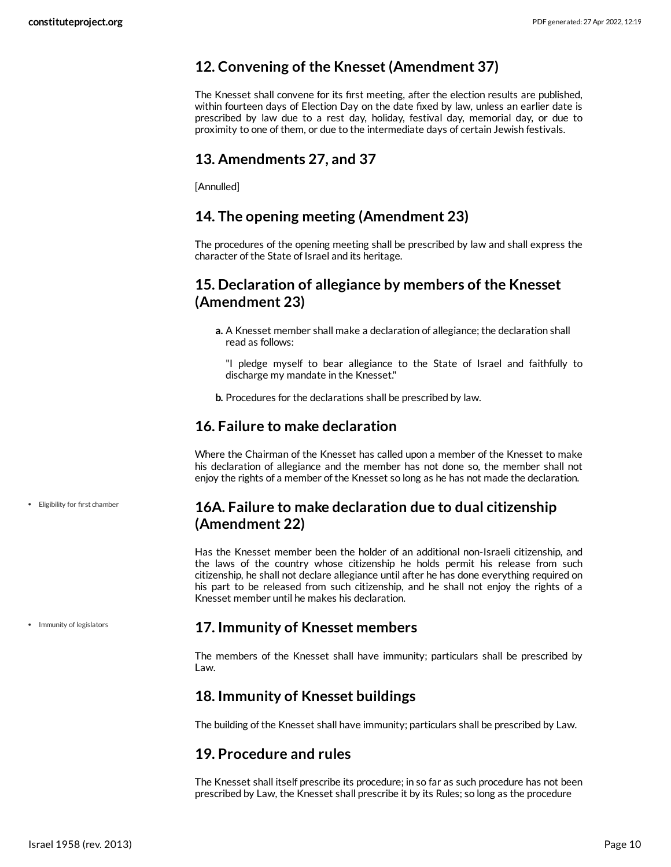### <span id="page-9-0"></span>**12. Convening of the Knesset (Amendment 37)**

The Knesset shall convene for its first meeting, after the election results are published, within fourteen days of Election Day on the date fixed by law, unless an earlier date is prescribed by law due to a rest day, holiday, festival day, memorial day, or due to proximity to one of them, or due to the intermediate days of certain Jewish festivals.

### <span id="page-9-1"></span>**13. Amendments 27, and 37**

[Annulled]

### <span id="page-9-2"></span>**14. The opening meeting (Amendment 23)**

The procedures of the opening meeting shall be prescribed by law and shall express the character of the State of Israel and its heritage.

### <span id="page-9-3"></span>**15. Declaration of allegiance by members of the Knesset (Amendment 23)**

**a.** A Knesset member shall make a declaration of allegiance; the declaration shall read as follows:

"I pledge myself to bear allegiance to the State of Israel and faithfully to discharge my mandate in the Knesset."

**b.** Procedures for the declarations shall be prescribed by law.

### <span id="page-9-4"></span>**16. Failure to make declaration**

Where the Chairman of the Knesset has called upon a member of the Knesset to make his declaration of allegiance and the member has not done so, the member shall not enjoy the rights of a member of the Knesset so long as he has not made the declaration.

### <span id="page-9-5"></span>**16A. Failure to make declaration due to dual citizenship (Amendment 22)**

Has the Knesset member been the holder of an additional non-Israeli citizenship, and the laws of the country whose citizenship he holds permit his release from such citizenship, he shall not declare allegiance until after he has done everything required on his part to be released from such citizenship, and he shall not enjoy the rights of a Knesset member until he makes his declaration.

### <span id="page-9-6"></span>**17. Immunity of Knesset members**

The members of the Knesset shall have immunity; particulars shall be prescribed by Law.

### <span id="page-9-7"></span>**18. Immunity of Knesset buildings**

The building of the Knesset shall have immunity; particulars shall be prescribed by Law.

### <span id="page-9-8"></span>**19. Procedure and rules**

The Knesset shall itself prescribe its procedure; in so far as such procedure has not been prescribed by Law, the Knesset shall prescribe it by its Rules; so long as the procedure

Eligibility for first chamber

• Immunity of legislators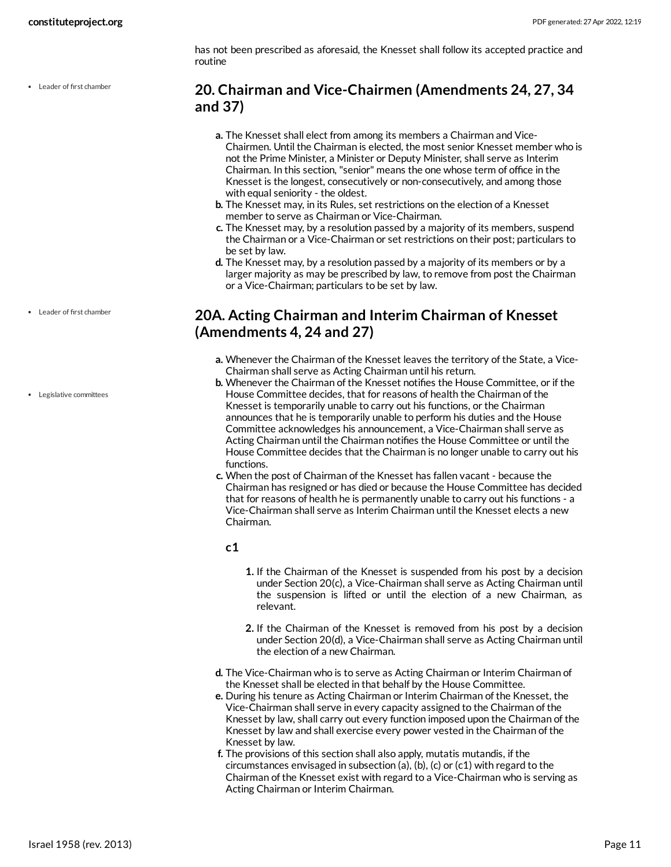has not been prescribed as aforesaid, the Knesset shall follow its accepted practice and routine

Leader of first chamber

### <span id="page-10-0"></span>**20. Chairman and Vice-Chairmen (Amendments 24, 27, 34 and 37)**

- **a.** The Knesset shall elect from among its members a Chairman and Vice-Chairmen. Until the Chairman is elected, the most senior Knesset member who is not the Prime Minister, a Minister or Deputy Minister, shall serve as Interim Chairman. In this section, "senior" means the one whose term of office in the Knesset is the longest, consecutively or non-consecutively, and among those with equal seniority - the oldest.
- **b.** The Knesset may, in its Rules, set restrictions on the election of a Knesset member to serve as Chairman or Vice-Chairman.
- **c.** The Knesset may, by a resolution passed by a majority of its members, suspend the Chairman or a Vice-Chairman or set restrictions on their post; particulars to be set by law.
- **d.** The Knesset may, by a resolution passed by a majority of its members or by a larger majority as may be prescribed by law, to remove from post the Chairman or a Vice-Chairman; particulars to be set by law.

### <span id="page-10-1"></span>**20A. Acting Chairman and Interim Chairman of Knesset (Amendments 4, 24 and 27)**

- **a.** Whenever the Chairman of the Knesset leaves the territory of the State, a Vice-Chairman shall serve as Acting Chairman until his return.
- **b.** Whenever the Chairman of the Knesset notifies the House Committee, or if the House Committee decides, that for reasons of health the Chairman of the Knesset is temporarily unable to carry out his functions, or the Chairman announces that he is temporarily unable to perform his duties and the House Committee acknowledges his announcement, a Vice-Chairman shall serve as Acting Chairman until the Chairman notifies the House Committee or until the House Committee decides that the Chairman is no longer unable to carry out his functions.
- **c.** When the post of Chairman of the Knesset has fallen vacant because the Chairman has resigned or has died or because the House Committee has decided that for reasons of health he is permanently unable to carry out his functions - a Vice-Chairman shall serve as Interim Chairman until the Knesset elects a new Chairman.

### **c1**

- **1.** If the Chairman of the Knesset is suspended from his post by a decision under Section 20(c), a Vice-Chairman shall serve as Acting Chairman until the suspension is lifted or until the election of a new Chairman, as relevant.
- **2.** If the Chairman of the Knesset is removed from his post by a decision under Section 20(d), a Vice-Chairman shall serve as Acting Chairman until the election of a new Chairman.
- **d.** The Vice-Chairman who is to serve as Acting Chairman or Interim Chairman of the Knesset shall be elected in that behalf by the House Committee.
- **e.** During his tenure as Acting Chairman or Interim Chairman of the Knesset, the Vice-Chairman shall serve in every capacity assigned to the Chairman of the Knesset by law, shall carry out every function imposed upon the Chairman of the Knesset by law and shall exercise every power vested in the Chairman of the Knesset by law.
- **f.** The provisions of this section shall also apply, mutatis mutandis, if the circumstances envisaged in subsection (a), (b), (c) or (c1) with regard to the Chairman of the Knesset exist with regard to a Vice-Chairman who is serving as Acting Chairman or Interim Chairman.

Leader of first chamber

Legislative committees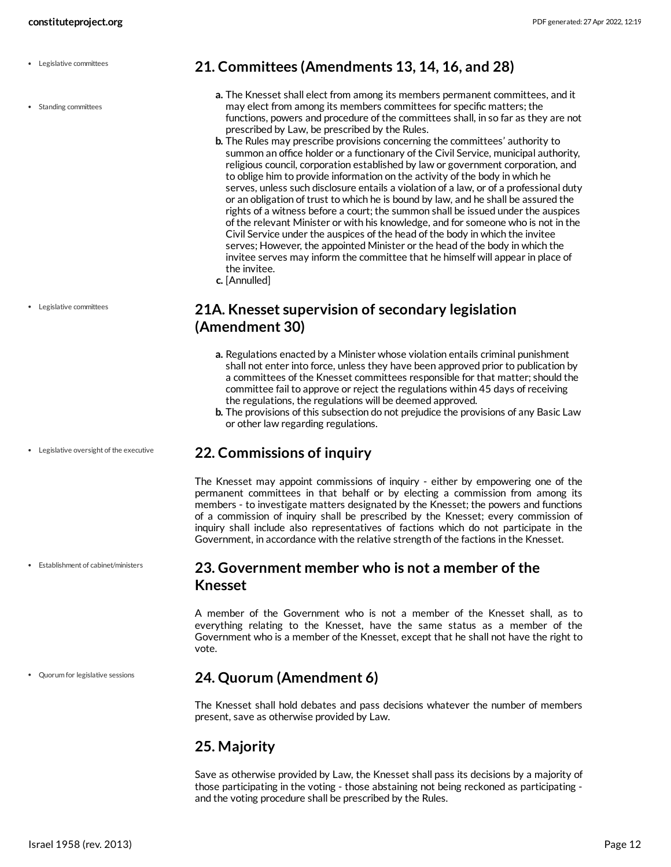- Legislative committees
- Standing committees

Legislative committees

Legislative oversight of the executive

Establishment of cabinet/ministers

Quorum for legislative sessions

### <span id="page-11-0"></span>**21. Committees (Amendments 13, 14, 16, and 28)**

- **a.** The Knesset shall elect from among its members permanent committees, and it may elect from among its members committees for specific matters; the functions, powers and procedure of the committees shall, in so far as they are not prescribed by Law, be prescribed by the Rules.
- **b.** The Rules may prescribe provisions concerning the committees' authority to summon an office holder or a functionary of the Civil Service, municipal authority, religious council, corporation established by law or government corporation, and to oblige him to provide information on the activity of the body in which he serves, unless such disclosure entails a violation of a law, or of a professional duty or an obligation of trust to which he is bound by law, and he shall be assured the rights of a witness before a court; the summon shall be issued under the auspices of the relevant Minister or with his knowledge, and for someone who is not in the Civil Service under the auspices of the head of the body in which the invitee serves; However, the appointed Minister or the head of the body in which the invitee serves may inform the committee that he himself will appear in place of the invitee.
- **c.** [Annulled]

### <span id="page-11-1"></span>**21A. Knesset supervision of secondary legislation (Amendment 30)**

- **a.** Regulations enacted by a Minister whose violation entails criminal punishment shall not enter into force, unless they have been approved prior to publication by a committees of the Knesset committees responsible for that matter; should the committee fail to approve or reject the regulations within 45 days of receiving the regulations, the regulations will be deemed approved.
- **b.** The provisions of this subsection do not prejudice the provisions of any Basic Law or other law regarding regulations.

### <span id="page-11-2"></span>**22. Commissions of inquiry**

The Knesset may appoint commissions of inquiry - either by empowering one of the permanent committees in that behalf or by electing a commission from among its members - to investigate matters designated by the Knesset; the powers and functions of a commission of inquiry shall be prescribed by the Knesset; every commission of inquiry shall include also representatives of factions which do not participate in the Government, in accordance with the relative strength of the factions in the Knesset.

### <span id="page-11-3"></span>**23. Government member who is not a member of the Knesset**

A member of the Government who is not a member of the Knesset shall, as to everything relating to the Knesset, have the same status as a member of the Government who is a member of the Knesset, except that he shall not have the right to vote.

### <span id="page-11-4"></span>**24. Quorum (Amendment 6)**

The Knesset shall hold debates and pass decisions whatever the number of members present, save as otherwise provided by Law.

### <span id="page-11-5"></span>**25. Majority**

Save as otherwise provided by Law, the Knesset shall pass its decisions by a majority of those participating in the voting - those abstaining not being reckoned as participating and the voting procedure shall be prescribed by the Rules.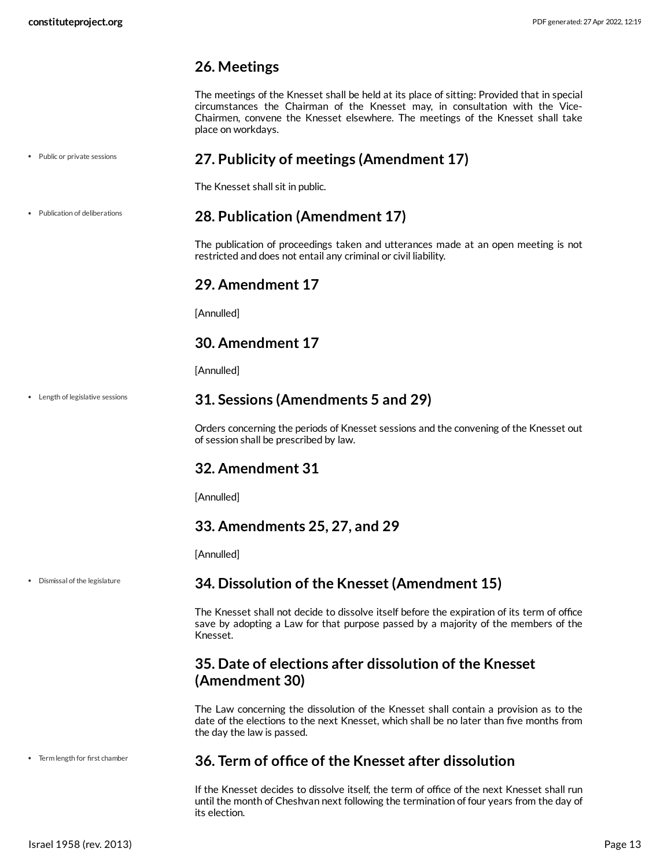### <span id="page-12-0"></span>**26. Meetings**

The meetings of the Knesset shall be held at its place of sitting: Provided that in special circumstances the Chairman of the Knesset may, in consultation with the Vice-Chairmen, convene the Knesset elsewhere. The meetings of the Knesset shall take place on workdays.

### <span id="page-12-1"></span>**27. Publicity of meetings (Amendment 17)**

The Knesset shall sit in public.

Publication of deliberations

Public or private sessions

### <span id="page-12-2"></span>**28. Publication (Amendment 17)**

The publication of proceedings taken and utterances made at an open meeting is not restricted and does not entail any criminal or civil liability.

### <span id="page-12-3"></span>**29. Amendment 17**

[Annulled]

### <span id="page-12-4"></span>**30. Amendment 17**

[Annulled]

Length of legislative sessions

### <span id="page-12-5"></span>**31. Sessions (Amendments 5 and 29)**

Orders concerning the periods of Knesset sessions and the convening of the Knesset out of session shall be prescribed by law.

### <span id="page-12-6"></span>**32. Amendment 31**

[Annulled]

### <span id="page-12-7"></span>**33. Amendments 25, 27, and 29**

[Annulled]

Dismissal of the legislature

### <span id="page-12-8"></span>**34. Dissolution of the Knesset (Amendment 15)**

The Knesset shall not decide to dissolve itself before the expiration of its term of office save by adopting a Law for that purpose passed by a majority of the members of the Knesset.

### <span id="page-12-9"></span>**35. Date of elections after dissolution of the Knesset (Amendment 30)**

The Law concerning the dissolution of the Knesset shall contain a provision as to the date of the elections to the next Knesset, which shall be no later than five months from the day the law is passed.

• Term length for first chamber

### <span id="page-12-10"></span>**36. Term of office of the Knesset after dissolution**

If the Knesset decides to dissolve itself, the term of office of the next Knesset shall run until the month of Cheshvan next following the termination of four years from the day of its election.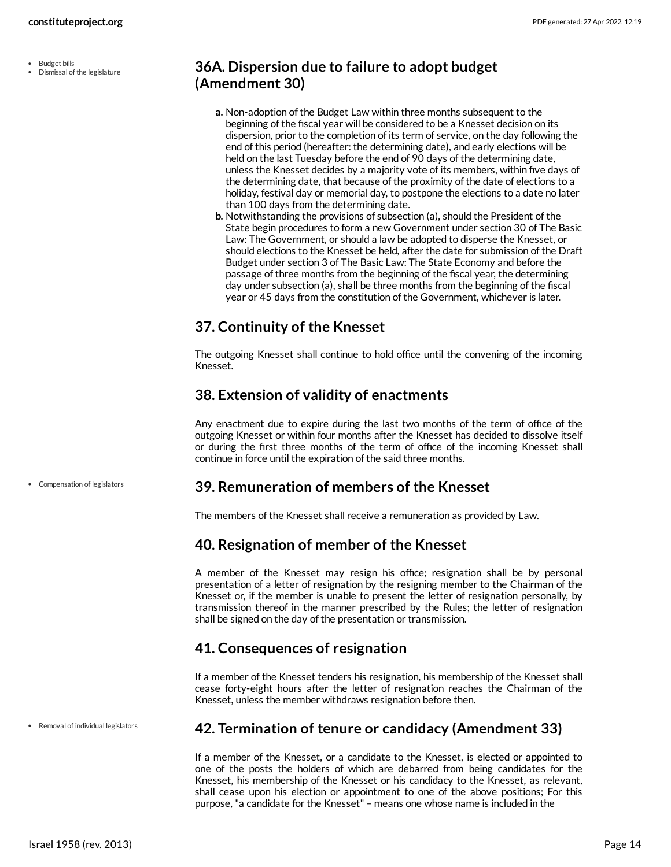Budget bills Dismissal of the legislature

### <span id="page-13-0"></span>**36A. Dispersion due to failure to adopt budget (Amendment 30)**

- **a.** Non-adoption of the Budget Law within three months subsequent to the beginning of the fiscal year will be considered to be a Knesset decision on its dispersion, prior to the completion of its term of service, on the day following the end of this period (hereafter: the determining date), and early elections will be held on the last Tuesday before the end of 90 days of the determining date, unless the Knesset decides by a majority vote of its members, within five days of the determining date, that because of the proximity of the date of elections to a holiday, festival day or memorial day, to postpone the elections to a date no later than 100 days from the determining date.
- **b.** Notwithstanding the provisions of subsection (a), should the President of the State begin procedures to form a new Government under section 30 of The Basic Law: The Government, or should a law be adopted to disperse the Knesset, or should elections to the Knesset be held, after the date for submission of the Draft Budget under section 3 of The Basic Law: The State Economy and before the passage of three months from the beginning of the fiscal year, the determining day under subsection (a), shall be three months from the beginning of the fiscal year or 45 days from the constitution of the Government, whichever is later.

### <span id="page-13-1"></span>**37. Continuity of the Knesset**

The outgoing Knesset shall continue to hold office until the convening of the incoming Knesset.

### <span id="page-13-2"></span>**38. Extension of validity of enactments**

Any enactment due to expire during the last two months of the term of office of the outgoing Knesset or within four months after the Knesset has decided to dissolve itself or during the first three months of the term of office of the incoming Knesset shall continue in force until the expiration of the said three months.

Compensation of legislators

### <span id="page-13-3"></span>**39. Remuneration of members of the Knesset**

The members of the Knesset shall receive a remuneration as provided by Law.

### <span id="page-13-4"></span>**40. Resignation of member of the Knesset**

A member of the Knesset may resign his office; resignation shall be by personal presentation of a letter of resignation by the resigning member to the Chairman of the Knesset or, if the member is unable to present the letter of resignation personally, by transmission thereof in the manner prescribed by the Rules; the letter of resignation shall be signed on the day of the presentation or transmission.

### <span id="page-13-5"></span>**41. Consequences of resignation**

If a member of the Knesset tenders his resignation, his membership of the Knesset shall cease forty-eight hours after the letter of resignation reaches the Chairman of the Knesset, unless the member withdraws resignation before then.

Removal of individual legislators

### <span id="page-13-6"></span>**42. Termination of tenure or candidacy (Amendment 33)**

If a member of the Knesset, or a candidate to the Knesset, is elected or appointed to one of the posts the holders of which are debarred from being candidates for the Knesset, his membership of the Knesset or his candidacy to the Knesset, as relevant, shall cease upon his election or appointment to one of the above positions; For this purpose, "a candidate for the Knesset" – means one whose name is included in the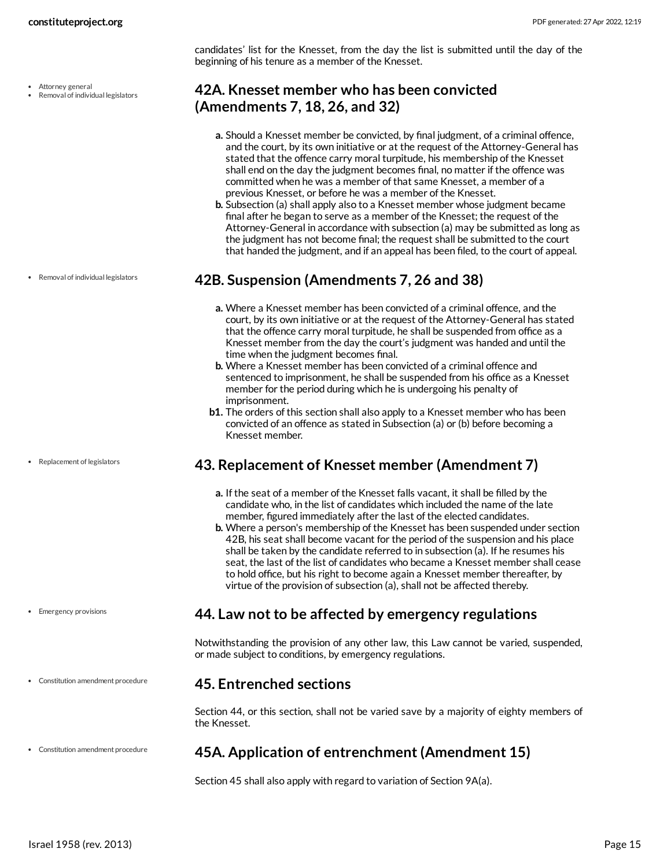candidates' list for the Knesset, from the day the list is submitted until the day of the beginning of his tenure as a member of the Knesset.

### <span id="page-14-0"></span>**42A. Knesset member who has been convicted (Amendments 7, 18, 26, and 32)**

- **a.** Should a Knesset member be convicted, by final judgment, of a criminal offence, and the court, by its own initiative or at the request of the Attorney-General has stated that the offence carry moral turpitude, his membership of the Knesset shall end on the day the judgment becomes final, no matter if the offence was committed when he was a member of that same Knesset, a member of a previous Knesset, or before he was a member of the Knesset.
- **b.** Subsection (a) shall apply also to a Knesset member whose judgment became final after he began to serve as a member of the Knesset; the request of the Attorney-General in accordance with subsection (a) may be submitted as long as the judgment has not become final; the request shall be submitted to the court that handed the judgment, and if an appeal has been filed, to the court of appeal.

### <span id="page-14-1"></span>**42B. Suspension (Amendments 7, 26 and 38)**

- **a.** Where a Knesset member has been convicted of a criminal offence, and the court, by its own initiative or at the request of the Attorney-General has stated that the offence carry moral turpitude, he shall be suspended from office as a Knesset member from the day the court's judgment was handed and until the time when the judgment becomes final.
- **b.** Where a Knesset member has been convicted of a criminal offence and sentenced to imprisonment, he shall be suspended from his office as a Knesset member for the period during which he is undergoing his penalty of imprisonment.
- **b1.** The orders of this section shall also apply to a Knesset member who has been convicted of an offence as stated in Subsection (a) or (b) before becoming a Knesset member.

### <span id="page-14-2"></span>**43. Replacement of Knesset member (Amendment 7)**

- **a.** If the seat of a member of the Knesset falls vacant, it shall be filled by the candidate who, in the list of candidates which included the name of the late member, figured immediately after the last of the elected candidates.
- **b.** Where a person's membership of the Knesset has been suspended under section 42B, his seat shall become vacant for the period of the suspension and his place shall be taken by the candidate referred to in subsection (a). If he resumes his seat, the last of the list of candidates who became a Knesset member shall cease to hold office, but his right to become again a Knesset member thereafter, by virtue of the provision of subsection (a), shall not be affected thereby.

### <span id="page-14-3"></span>**44. Law not to be affected by emergency regulations**

Notwithstanding the provision of any other law, this Law cannot be varied, suspended, or made subject to conditions, by emergency regulations.

### <span id="page-14-4"></span>**45. Entrenched sections**

Section 44, or this section, shall not be varied save by a majority of eighty members of the Knesset.

### <span id="page-14-5"></span>**45A. Application of entrenchment (Amendment 15)**

Section 45 shall also apply with regard to variation of Section 9A(a).

Attorney general

Removal of individual legislators

Removal of individual legislators

• Replacement of legislators

- Emergency provisions
- Constitution amendment procedure

Constitution amendment procedure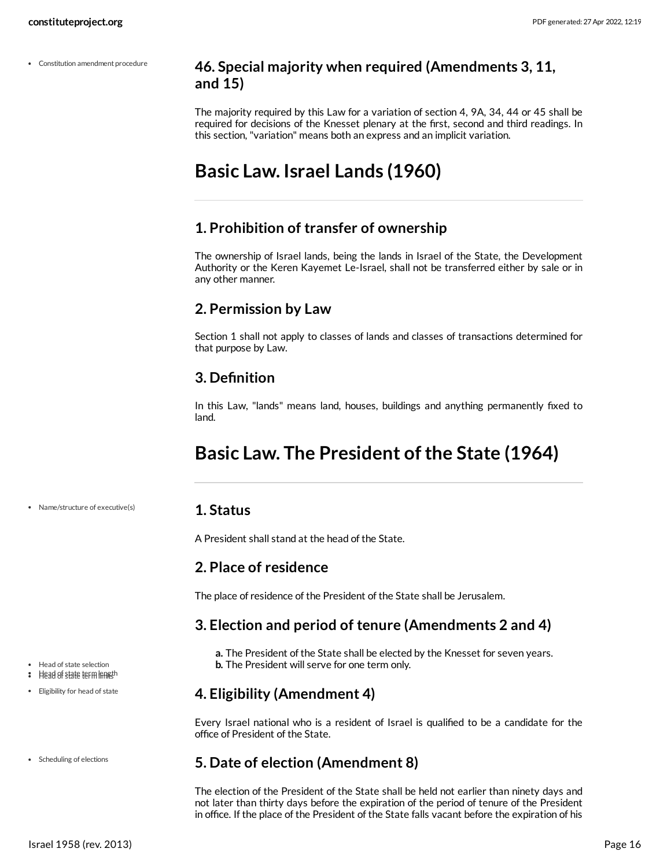Constitution amendment procedure

### <span id="page-15-0"></span>**46. Special majority when required (Amendments 3, 11, and 15)**

The majority required by this Law for a variation of section 4, 9A, 34, 44 or 45 shall be required for decisions of the Knesset plenary at the first, second and third readings. In this section, "variation" means both an express and an implicit variation.

## <span id="page-15-1"></span>**Basic Law. Israel Lands (1960)**

### <span id="page-15-2"></span>**1. Prohibition of transfer of ownership**

The ownership of Israel lands, being the lands in Israel of the State, the Development Authority or the Keren Kayemet Le-Israel, shall not be transferred either by sale or in any other manner.

### <span id="page-15-3"></span>**2. Permission by Law**

Section 1 shall not apply to classes of lands and classes of transactions determined for that purpose by Law.

### <span id="page-15-4"></span>**3. Definition**

In this Law, "lands" means land, houses, buildings and anything permanently fixed to land.

## <span id="page-15-5"></span>**Basic Law. The President of the State (1964)**

### <span id="page-15-6"></span>**1. Status**

A President shall stand at the head of the State.

### <span id="page-15-7"></span>**2. Place of residence**

The place of residence of the President of the State shall be Jerusalem.

### <span id="page-15-8"></span>**3. Election and period of tenure (Amendments 2 and 4)**

**a.** The President of the State shall be elected by the Knesset for seven years. **b.** The President will serve for one term only.

### <span id="page-15-9"></span>**4. Eligibility (Amendment 4)**

Every Israel national who is a resident of Israel is qualified to be a candidate for the office of President of the State.

### <span id="page-15-10"></span>**5. Date of election (Amendment 8)**

The election of the President of the State shall be held not earlier than ninety days and not later than thirty days before the expiration of the period of tenure of the President in office. If the place of the President of the State falls vacant before the expiration of his

- Eligibility for head of state
- Scheduling of elections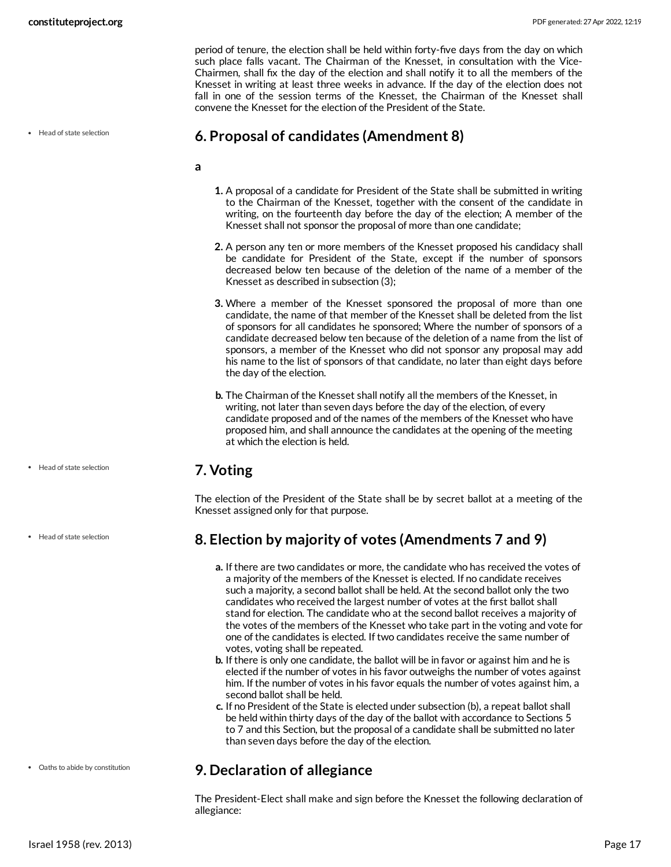period of tenure, the election shall be held within forty-five days from the day on which such place falls vacant. The Chairman of the Knesset, in consultation with the Vice-Chairmen, shall fix the day of the election and shall notify it to all the members of the Knesset in writing at least three weeks in advance. If the day of the election does not fall in one of the session terms of the Knesset, the Chairman of the Knesset shall convene the Knesset for the election of the President of the State.

### <span id="page-16-0"></span>**6. Proposal of candidates (Amendment 8)**

- **a**
- **1.** A proposal of a candidate for President of the State shall be submitted in writing to the Chairman of the Knesset, together with the consent of the candidate in writing, on the fourteenth day before the day of the election; A member of the Knesset shall not sponsor the proposal of more than one candidate;
- **2.** A person any ten or more members of the Knesset proposed his candidacy shall be candidate for President of the State, except if the number of sponsors decreased below ten because of the deletion of the name of a member of the Knesset as described in subsection (3);
- **3.** Where a member of the Knesset sponsored the proposal of more than one candidate, the name of that member of the Knesset shall be deleted from the list of sponsors for all candidates he sponsored; Where the number of sponsors of a candidate decreased below ten because of the deletion of a name from the list of sponsors, a member of the Knesset who did not sponsor any proposal may add his name to the list of sponsors of that candidate, no later than eight days before the day of the election.
- **b.** The Chairman of the Knesset shall notify all the members of the Knesset, in writing, not later than seven days before the day of the election, of every candidate proposed and of the names of the members of the Knesset who have proposed him, and shall announce the candidates at the opening of the meeting at which the election is held.

### <span id="page-16-1"></span>**7. Voting**

The election of the President of the State shall be by secret ballot at a meeting of the Knesset assigned only for that purpose.

### <span id="page-16-2"></span>**8. Election by majority of votes (Amendments 7 and 9)**

- **a.** If there are two candidates or more, the candidate who has received the votes of a majority of the members of the Knesset is elected. If no candidate receives such a majority, a second ballot shall be held. At the second ballot only the two candidates who received the largest number of votes at the first ballot shall stand for election. The candidate who at the second ballot receives a majority of the votes of the members of the Knesset who take part in the voting and vote for one of the candidates is elected. If two candidates receive the same number of votes, voting shall be repeated.
- **b.** If there is only one candidate, the ballot will be in favor or against him and he is elected if the number of votes in his favor outweighs the number of votes against him. If the number of votes in his favor equals the number of votes against him, a second ballot shall be held.
- **c.** If no President of the State is elected under subsection (b), a repeat ballot shall be held within thirty days of the day of the ballot with accordance to Sections 5 to 7 and this Section, but the proposal of a candidate shall be submitted no later than seven days before the day of the election.

### <span id="page-16-3"></span>**9. Declaration of allegiance**

The President-Elect shall make and sign before the Knesset the following declaration of allegiance:

Head of state selection

- Head of state selection
- Head of state selection

Oaths to abide by constitution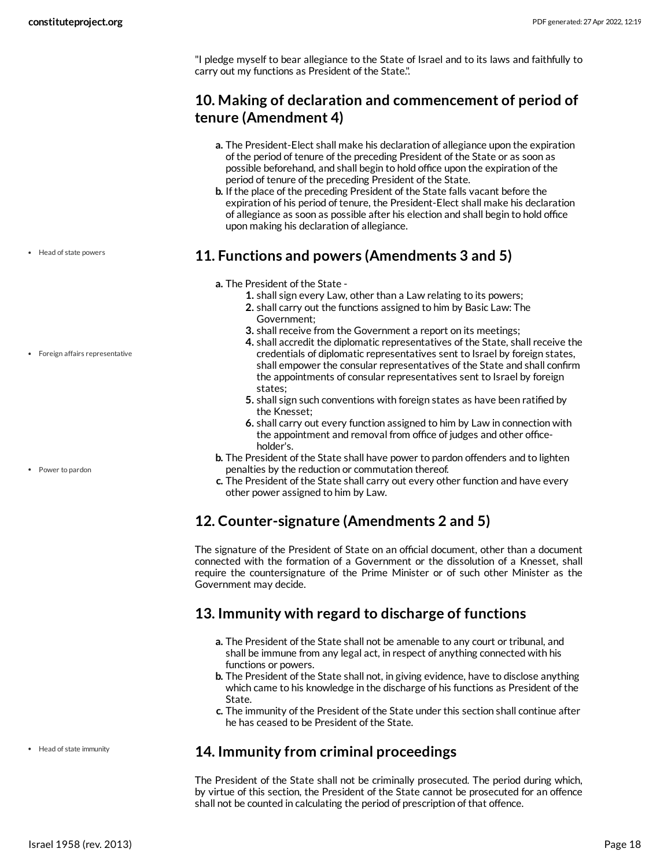"I pledge myself to bear allegiance to the State of Israel and to its laws and faithfully to carry out my functions as President of the State.".

### <span id="page-17-0"></span>**10. Making of declaration and commencement of period of tenure (Amendment 4)**

- **a.** The President-Elect shall make his declaration of allegiance upon the expiration of the period of tenure of the preceding President of the State or as soon as possible beforehand, and shall begin to hold office upon the expiration of the period of tenure of the preceding President of the State.
- **b.** If the place of the preceding President of the State falls vacant before the expiration of his period of tenure, the President-Elect shall make his declaration of allegiance as soon as possible after his election and shall begin to hold office upon making his declaration of allegiance.

### <span id="page-17-1"></span>**11. Functions and powers (Amendments 3 and 5)**

- **a.** The President of the State
	- **1.** shall sign every Law, other than a Law relating to its powers;
	- **2.** shall carry out the functions assigned to him by Basic Law: The Government;
	- **3.** shall receive from the Government a report on its meetings;
	- **4.** shall accredit the diplomatic representatives of the State, shall receive the credentials of diplomatic representatives sent to Israel by foreign states, shall empower the consular representatives of the State and shall confirm the appointments of consular representatives sent to Israel by foreign states;
	- **5.** shall sign such conventions with foreign states as have been ratified by the Knesset;
	- **6.** shall carry out every function assigned to him by Law in connection with the appointment and removal from office of judges and other officeholder's.
- **b.** The President of the State shall have power to pardon offenders and to lighten penalties by the reduction or commutation thereof.
- **c.** The President of the State shall carry out every other function and have every other power assigned to him by Law.

### <span id="page-17-2"></span>**12. Counter-signature (Amendments 2 and 5)**

The signature of the President of State on an official document, other than a document connected with the formation of a Government or the dissolution of a Knesset, shall require the countersignature of the Prime Minister or of such other Minister as the Government may decide.

### <span id="page-17-3"></span>**13. Immunity with regard to discharge of functions**

- **a.** The President of the State shall not be amenable to any court or tribunal, and shall be immune from any legal act, in respect of anything connected with his functions or powers.
- **b.** The President of the State shall not, in giving evidence, have to disclose anything which came to his knowledge in the discharge of his functions as President of the State.
- **c.** The immunity of the President of the State under this section shall continue after he has ceased to be President of the State.

### <span id="page-17-4"></span>**14. Immunity from criminal proceedings**

The President of the State shall not be criminally prosecuted. The period during which, by virtue of this section, the President of the State cannot be prosecuted for an offence shall not be counted in calculating the period of prescription of that offence.

• Head of state powers

Foreign affairs representative

Power to pardon

• Head of state immunity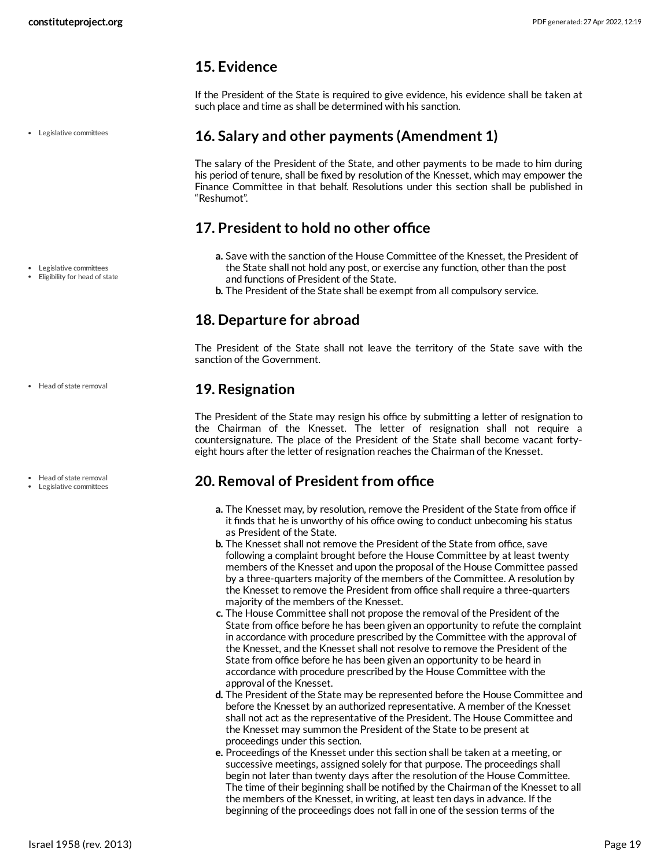Legislative committees

### <span id="page-18-0"></span>**15. Evidence**

If the President of the State is required to give evidence, his evidence shall be taken at such place and time as shall be determined with his sanction.

### <span id="page-18-1"></span>**16. Salary and other payments (Amendment 1)**

The salary of the President of the State, and other payments to be made to him during his period of tenure, shall be fixed by resolution of the Knesset, which may empower the Finance Committee in that behalf. Resolutions under this section shall be published in "Reshumot".

### <span id="page-18-2"></span>**17. President to hold no other office**

- **a.** Save with the sanction of the House Committee of the Knesset, the President of the State shall not hold any post, or exercise any function, other than the post and functions of President of the State.
- **b.** The President of the State shall be exempt from all compulsory service.

### <span id="page-18-3"></span>**18. Departure for abroad**

The President of the State shall not leave the territory of the State save with the sanction of the Government.

### <span id="page-18-4"></span>**19. Resignation**

The President of the State may resign his office by submitting a letter of resignation to the Chairman of the Knesset. The letter of resignation shall not require a countersignature. The place of the President of the State shall become vacant fortyeight hours after the letter of resignation reaches the Chairman of the Knesset.

### <span id="page-18-5"></span>**20. Removal of President from office**

- **a.** The Knesset may, by resolution, remove the President of the State from office if it finds that he is unworthy of his office owing to conduct unbecoming his status as President of the State.
- **b.** The Knesset shall not remove the President of the State from office, save following a complaint brought before the House Committee by at least twenty members of the Knesset and upon the proposal of the House Committee passed by a three-quarters majority of the members of the Committee. A resolution by the Knesset to remove the President from office shall require a three-quarters majority of the members of the Knesset.
- **c.** The House Committee shall not propose the removal of the President of the State from office before he has been given an opportunity to refute the complaint in accordance with procedure prescribed by the Committee with the approval of the Knesset, and the Knesset shall not resolve to remove the President of the State from office before he has been given an opportunity to be heard in accordance with procedure prescribed by the House Committee with the approval of the Knesset.
- **d.** The President of the State may be represented before the House Committee and before the Knesset by an authorized representative. A member of the Knesset shall not act as the representative of the President. The House Committee and the Knesset may summon the President of the State to be present at proceedings under this section.
- **e.** Proceedings of the Knesset under this section shall be taken at a meeting, or successive meetings, assigned solely for that purpose. The proceedings shall begin not later than twenty days after the resolution of the House Committee. The time of their beginning shall be notified by the Chairman of the Knesset to all the members of the Knesset, in writing, at least ten days in advance. If the beginning of the proceedings does not fall in one of the session terms of the

• Head of state removal

Legislative committees Eligibility for head of state

Head of state removal Legislative committees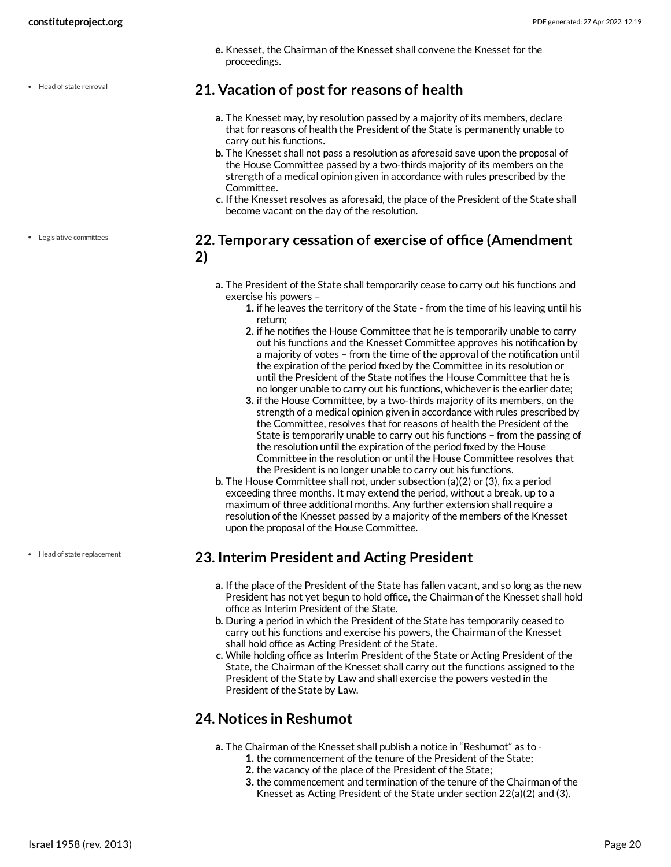• Head of state removal

**e.** Knesset, the Chairman of the Knesset shall convene the Knesset for the proceedings.

### <span id="page-19-0"></span>**21. Vacation of post for reasons of health**

- **a.** The Knesset may, by resolution passed by a majority of its members, declare that for reasons of health the President of the State is permanently unable to carry out his functions.
- **b.** The Knesset shall not pass a resolution as aforesaid save upon the proposal of the House Committee passed by a two-thirds majority of its members on the strength of a medical opinion given in accordance with rules prescribed by the Committee.
- **c.** If the Knesset resolves as aforesaid, the place of the President of the State shall become vacant on the day of the resolution.

### <span id="page-19-1"></span>**22. Temporary cessation of exercise of office (Amendment 2)**

- **a.** The President of the State shall temporarily cease to carry out his functions and exercise his powers –
	- **1.** if he leaves the territory of the State from the time of his leaving until his return;
	- **2.** if he notifies the House Committee that he is temporarily unable to carry out his functions and the Knesset Committee approves his notification by a majority of votes – from the time of the approval of the notification until the expiration of the period fixed by the Committee in its resolution or until the President of the State notifies the House Committee that he is no longer unable to carry out his functions, whichever is the earlier date;
	- **3.** if the House Committee, by a two-thirds majority of its members, on the strength of a medical opinion given in accordance with rules prescribed by the Committee, resolves that for reasons of health the President of the State is temporarily unable to carry out his functions – from the passing of the resolution until the expiration of the period fixed by the House Committee in the resolution or until the House Committee resolves that the President is no longer unable to carry out his functions.
- **b.** The House Committee shall not, under subsection (a)(2) or (3), fix a period exceeding three months. It may extend the period, without a break, up to a maximum of three additional months. Any further extension shall require a resolution of the Knesset passed by a majority of the members of the Knesset upon the proposal of the House Committee.

### <span id="page-19-2"></span>**23. Interim President and Acting President**

- **a.** If the place of the President of the State has fallen vacant, and so long as the new President has not yet begun to hold office, the Chairman of the Knesset shall hold office as Interim President of the State.
- **b.** During a period in which the President of the State has temporarily ceased to carry out his functions and exercise his powers, the Chairman of the Knesset shall hold office as Acting President of the State.
- **c.** While holding office as Interim President of the State or Acting President of the State, the Chairman of the Knesset shall carry out the functions assigned to the President of the State by Law and shall exercise the powers vested in the President of the State by Law.

### <span id="page-19-3"></span>**24. Notices in Reshumot**

- **a.** The Chairman of the Knesset shall publish a notice in "Reshumot" as to
	- **1.** the commencement of the tenure of the President of the State;
	- **2.** the vacancy of the place of the President of the State;
	- **3.** the commencement and termination of the tenure of the Chairman of the Knesset as Acting President of the State under section 22(a)(2) and (3).

Legislative committees

Head of state replacement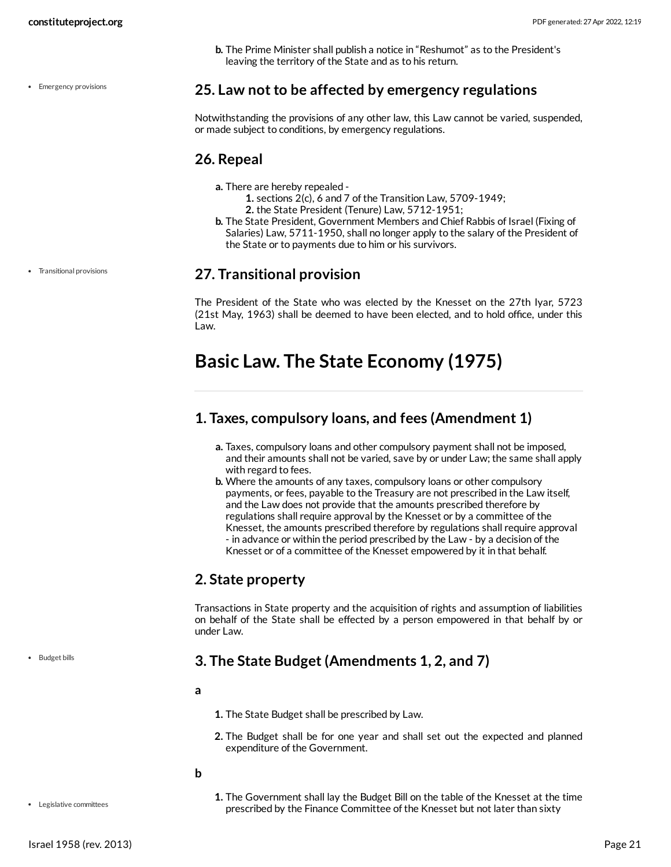**b.** The Prime Minister shall publish a notice in "Reshumot" as to the President's leaving the territory of the State and as to his return.

#### • Emergency provisions

<span id="page-20-0"></span>**25. Law not to be affected by emergency regulations**

Notwithstanding the provisions of any other law, this Law cannot be varied, suspended, or made subject to conditions, by emergency regulations.

### <span id="page-20-1"></span>**26. Repeal**

- **a.** There are hereby repealed
	- **1.** sections 2(c), 6 and 7 of the Transition Law, 5709-1949;
	- **2.** the State President (Tenure) Law, 5712-1951;
- **b.** The State President, Government Members and Chief Rabbis of Israel (Fixing of Salaries) Law, 5711-1950, shall no longer apply to the salary of the President of the State or to payments due to him or his survivors.

### <span id="page-20-2"></span>**27. Transitional provision**

The President of the State who was elected by the Knesset on the 27th Iyar, 5723 (21st May, 1963) shall be deemed to have been elected, and to hold office, under this Law.

## <span id="page-20-3"></span>**Basic Law. The State Economy (1975)**

### <span id="page-20-4"></span>**1. Taxes, compulsory loans, and fees (Amendment 1)**

- **a.** Taxes, compulsory loans and other compulsory payment shall not be imposed, and their amounts shall not be varied, save by or under Law; the same shall apply with regard to fees.
- **b.** Where the amounts of any taxes, compulsory loans or other compulsory payments, or fees, payable to the Treasury are not prescribed in the Law itself, and the Law does not provide that the amounts prescribed therefore by regulations shall require approval by the Knesset or by a committee of the Knesset, the amounts prescribed therefore by regulations shall require approval - in advance or within the period prescribed by the Law - by a decision of the Knesset or of a committee of the Knesset empowered by it in that behalf.

### <span id="page-20-5"></span>**2. State property**

Transactions in State property and the acquisition of rights and assumption of liabilities on behalf of the State shall be effected by a person empowered in that behalf by or under Law.

### <span id="page-20-6"></span>**3. The State Budget (Amendments 1, 2, and 7)**

**a**

**1.** The State Budget shall be prescribed by Law.

**2.** The Budget shall be for one year and shall set out the expected and planned expenditure of the Government.

**b**

<span id="page-20-7"></span>**1.** The Government shall lay the Budget Bill on the table of the Knesset at the time prescribed by the Finance Committee of the Knesset but not later than sixty

Transitional provisions

• Budget bills

**.** Legislative committees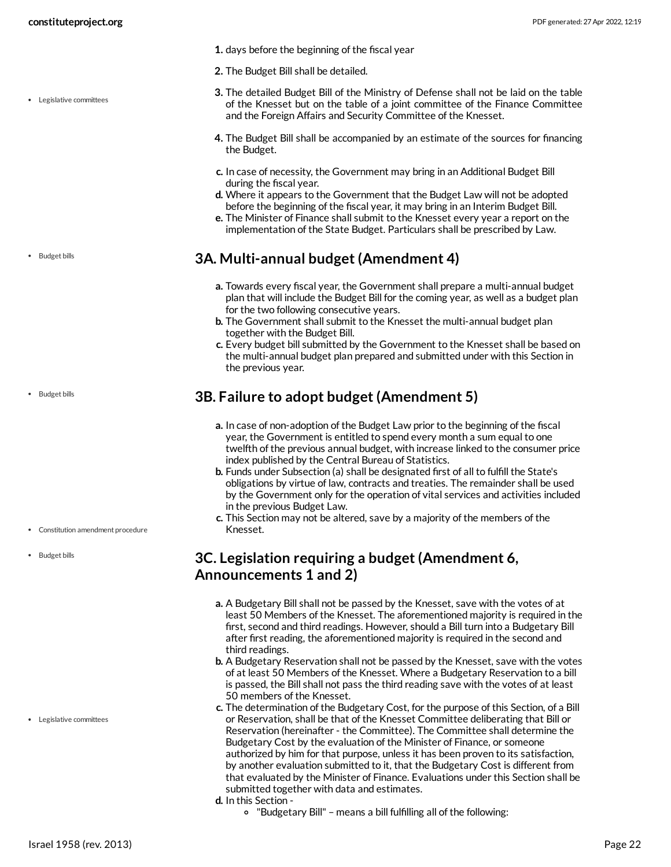- **1.** days before the beginning of the fiscal year
- **2.** The Budget Bill shall be detailed.
- **3.** The detailed Budget Bill of the Ministry of Defense shall not be laid on the table of the Knesset but on the table of a joint committee of the Finance Committee and the Foreign Affairs and Security Committee of the Knesset.
- **4.** The Budget Bill shall be accompanied by an estimate of the sources for financing the Budget.
- **c.** In case of necessity, the Government may bring in an Additional Budget Bill during the fiscal year.
- **d.** Where it appears to the Government that the Budget Law will not be adopted before the beginning of the fiscal year, it may bring in an Interim Budget Bill.
- **e.** The Minister of Finance shall submit to the Knesset every year a report on the implementation of the State Budget. Particulars shall be prescribed by Law.

### <span id="page-21-0"></span>**3A. Multi-annual budget (Amendment 4)**

- **a.** Towards every fiscal year, the Government shall prepare a multi-annual budget plan that will include the Budget Bill for the coming year, as well as a budget plan for the two following consecutive years.
- **b.** The Government shall submit to the Knesset the multi-annual budget plan together with the Budget Bill.
- **c.** Every budget bill submitted by the Government to the Knesset shall be based on the multi-annual budget plan prepared and submitted under with this Section in the previous year.

### <span id="page-21-1"></span>**3B. Failure to adopt budget (Amendment 5)**

- **a.** In case of non-adoption of the Budget Law prior to the beginning of the fiscal year, the Government is entitled to spend every month a sum equal to one twelfth of the previous annual budget, with increase linked to the consumer price index published by the Central Bureau of Statistics.
- **b.** Funds under Subsection (a) shall be designated first of all to fulfill the State's obligations by virtue of law, contracts and treaties. The remainder shall be used by the Government only for the operation of vital services and activities included in the previous Budget Law.
- **c.** This Section may not be altered, save by a majority of the members of the Knesset.

### <span id="page-21-2"></span>**3C. Legislation requiring a budget (Amendment 6, Announcements 1 and 2)**

- **a.** A Budgetary Bill shall not be passed by the Knesset, save with the votes of at least 50 Members of the Knesset. The aforementioned majority is required in the first, second and third readings. However, should a Bill turn into a Budgetary Bill after first reading, the aforementioned majority is required in the second and third readings.
- **b.** A Budgetary Reservation shall not be passed by the Knesset, save with the votes of at least 50 Members of the Knesset. Where a Budgetary Reservation to a bill is passed, the Bill shall not pass the third reading save with the votes of at least 50 members of the Knesset.
- **c.** The determination of the Budgetary Cost, for the purpose of this Section, of a Bill or Reservation, shall be that of the Knesset Committee deliberating that Bill or Reservation (hereinafter - the Committee). The Committee shall determine the Budgetary Cost by the evaluation of the Minister of Finance, or someone authorized by him for that purpose, unless it has been proven to its satisfaction, by another evaluation submitted to it, that the Budgetary Cost is different from that evaluated by the Minister of Finance. Evaluations under this Section shall be submitted together with data and estimates.
- **d.** In this Section
	- "Budgetary Bill" means a bill fulfilling all of the following:

Legislative committees

• Budget bills

• Budget bills

- Constitution amendment procedure
- Budget bills

Legislative committees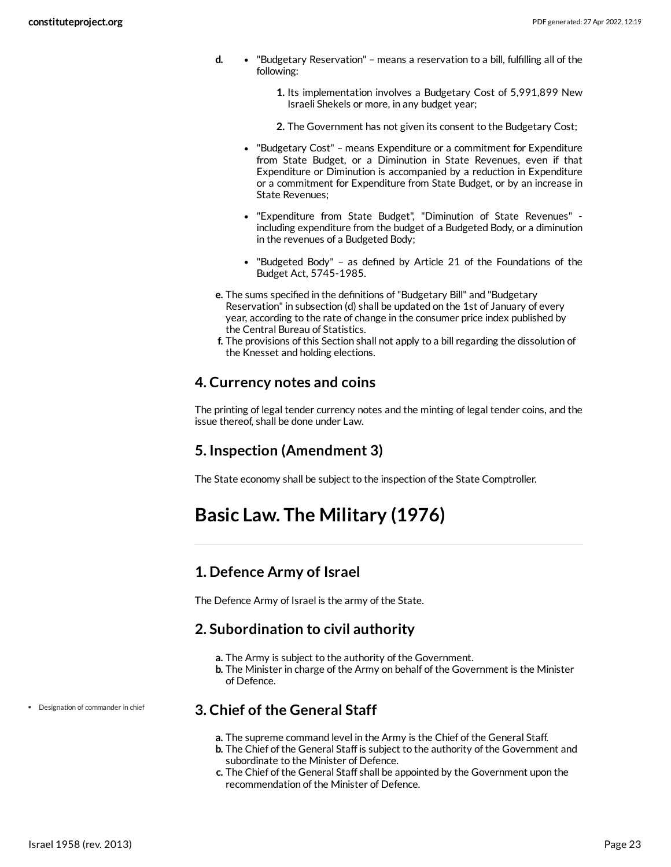- **d.** "Budgetary Reservation" means a reservation to a bill, fulfilling all of the following:
	- **1.** Its implementation involves a Budgetary Cost of 5,991,899 New Israeli Shekels or more, in any budget year;
	- **2.** The Government has not given its consent to the Budgetary Cost;
	- "Budgetary Cost" means Expenditure or a commitment for Expenditure from State Budget, or a Diminution in State Revenues, even if that Expenditure or Diminution is accompanied by a reduction in Expenditure or a commitment for Expenditure from State Budget, or by an increase in State Revenues;
	- "Expenditure from State Budget", "Diminution of State Revenues" including expenditure from the budget of a Budgeted Body, or a diminution in the revenues of a Budgeted Body;
	- "Budgeted Body" as defined by Article 21 of the Foundations of the Budget Act, 5745-1985.
- **e.** The sums specified in the definitions of"Budgetary Bill" and "Budgetary Reservation" in subsection (d) shall be updated on the 1st of January of every year, according to the rate of change in the consumer price index published by the Central Bureau of Statistics.
- **f.** The provisions of this Section shall not apply to a bill regarding the dissolution of the Knesset and holding elections.

### <span id="page-22-0"></span>**4. Currency notes and coins**

The printing of legal tender currency notes and the minting of legal tender coins, and the issue thereof, shall be done under Law.

### <span id="page-22-1"></span>**5. Inspection (Amendment 3)**

The State economy shall be subject to the inspection of the State Comptroller.

## <span id="page-22-2"></span>**Basic Law. The Military (1976)**

### <span id="page-22-3"></span>**1. Defence Army of Israel**

The Defence Army of Israel is the army of the State.

### <span id="page-22-4"></span>**2. Subordination to civil authority**

- **a.** The Army is subject to the authority of the Government.
- **b.** The Minister in charge of the Army on behalf of the Government is the Minister of Defence.

### <span id="page-22-5"></span>**3. Chief of the General Staff**

- **a.** The supreme command level in the Army is the Chief of the General Staff.
- **b.** The Chief of the General Staff is subject to the authority of the Government and subordinate to the Minister of Defence.
- **c.** The Chief of the General Staff shall be appointed by the Government upon the recommendation of the Minister of Defence.

Designation of commander in chief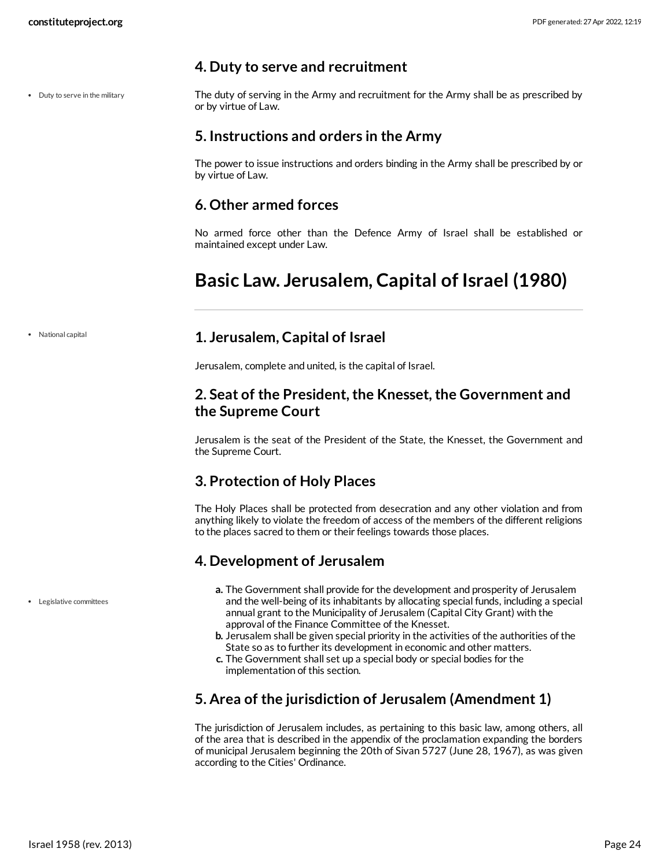### <span id="page-23-0"></span>**4. Duty to serve and recruitment**

• Duty to serve in the military

<span id="page-23-9"></span>The duty of serving in the Army and recruitment for the Army shall be as prescribed by or by virtue of Law.

### <span id="page-23-1"></span>**5. Instructions and orders in the Army**

The power to issue instructions and orders binding in the Army shall be prescribed by or by virtue of Law.

### <span id="page-23-2"></span>**6. Other armed forces**

No armed force other than the Defence Army of Israel shall be established or maintained except under Law.

## <span id="page-23-3"></span>**Basic Law. Jerusalem, Capital of Israel (1980)**

National capital

### <span id="page-23-4"></span>**1. Jerusalem, Capital of Israel**

Jerusalem, complete and united, is the capital of Israel.

### <span id="page-23-5"></span>**2. Seat of the President, the Knesset, the Government and the Supreme Court**

Jerusalem is the seat of the President of the State, the Knesset, the Government and the Supreme Court.

### <span id="page-23-6"></span>**3. Protection of Holy Places**

The Holy Places shall be protected from desecration and any other violation and from anything likely to violate the freedom of access of the members of the different religions to the places sacred to them or their feelings towards those places.

### <span id="page-23-7"></span>**4. Development of Jerusalem**

- **a.** The Government shall provide for the development and prosperity of Jerusalem and the well-being of its inhabitants by allocating special funds, including a special annual grant to the Municipality of Jerusalem (Capital City Grant) with the approval of the Finance Committee of the Knesset.
- **b.** Jerusalem shall be given special priority in the activities of the authorities of the State so as to further its development in economic and other matters.
- **c.** The Government shall set up a special body or special bodies for the implementation of this section.

### <span id="page-23-8"></span>**5. Area of the jurisdiction of Jerusalem (Amendment 1)**

The jurisdiction of Jerusalem includes, as pertaining to this basic law, among others, all of the area that is described in the appendix of the proclamation expanding the borders of municipal Jerusalem beginning the 20th of Sivan 5727 (June 28, 1967), as was given according to the Cities' Ordinance.

Legislative committees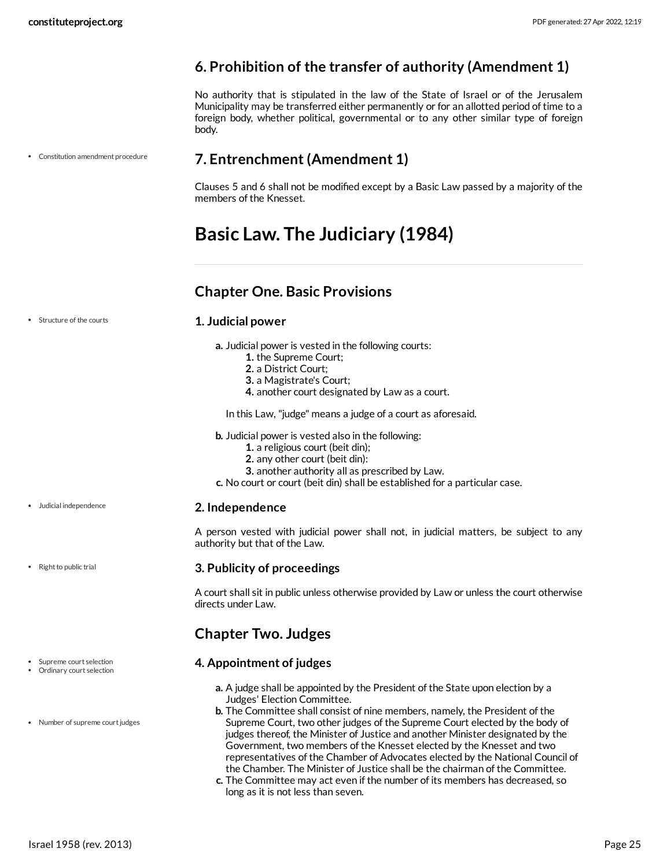Constitution amendment procedure

### <span id="page-24-0"></span>**6. Prohibition of the transfer of authority (Amendment 1)**

No authority that is stipulated in the law of the State of Israel or of the Jerusalem Municipality may be transferred either permanently or for an allotted period of time to a foreign body, whether political, governmental or to any other similar type of foreign body.

### <span id="page-24-1"></span>**7. Entrenchment (Amendment 1)**

Clauses 5 and 6 shall not be modified except by a Basic Law passed by a majority of the members of the Knesset.

## <span id="page-24-2"></span>**Basic Law. The Judiciary (1984)**

### <span id="page-24-3"></span>**Chapter One. Basic Provisions**

Structure of the courts

### <span id="page-24-8"></span>**1. Judicial power**

- **a.** Judicial power is vested in the following courts:
	- **1.** the Supreme Court;
	- **2.** a District Court;
	- **3.** a Magistrate's Court;
	- **4.** another court designated by Law as a court.

In this Law, "judge" means a judge of a court as aforesaid.

**b.** Judicial power is vested also in the following:

- **1.** a religious court (beit din);
- **2.** any other court (beit din):
- **3.** another authority all as prescribed by Law.
- **c.** No court or court (beit din) shall be established for a particular case.

### <span id="page-24-5"></span>**2. Independence**

A person vested with judicial power shall not, in judicial matters, be subject to any authority but that of the Law.

### <span id="page-24-7"></span>**3. Publicity of proceedings**

A court shall sit in public unless otherwise provided by Law or unless the court otherwise directs under Law.

### <span id="page-24-4"></span>**Chapter Two. Judges**

### <span id="page-24-6"></span>**4. Appointment of judges**

- **a.** A judge shall be appointed by the President of the State upon election by a Judges' Election Committee.
- **b.** The Committee shall consist of nine members, namely, the President of the Supreme Court, two other judges of the Supreme Court elected by the body of judges thereof, the Minister of Justice and another Minister designated by the Government, two members of the Knesset elected by the Knesset and two representatives of the Chamber of Advocates elected by the National Council of the Chamber. The Minister of Justice shall be the chairman of the Committee.
- **c.** The Committee may act even if the number of its members has decreased, so long as it is not less than seven.

Judicial independence

• Right to public trial

- Supreme court selection Ordinary court selection
- Number of supreme court judges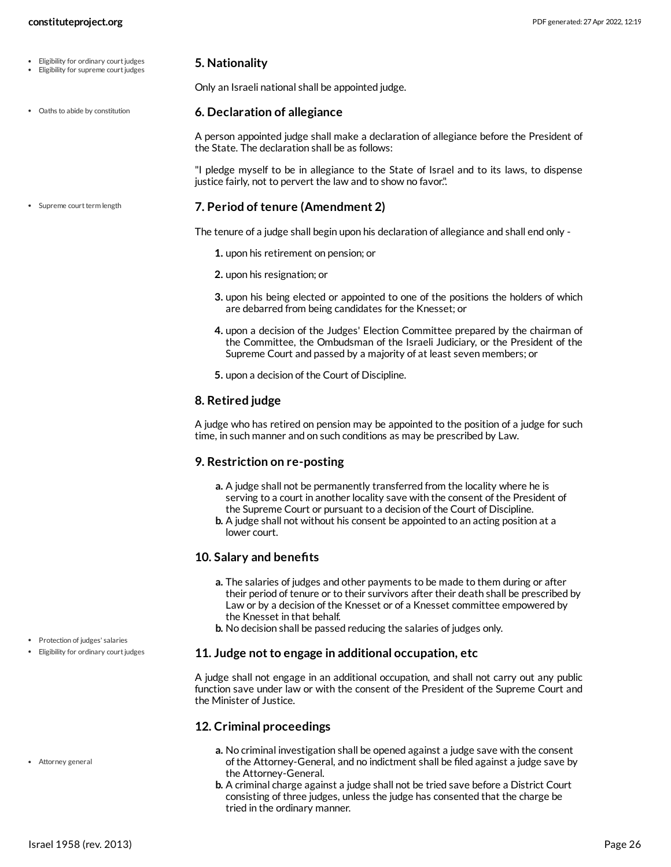- Eligibility for ordinary court judges
- Eligibility for supreme court judges
- Oaths to abide by constitution

• Supreme court term length

<span id="page-25-1"></span>Only an Israeli national shall be appointed judge.

### <span id="page-25-2"></span>**6. Declaration of allegiance**

A person appointed judge shall make a declaration of allegiance before the President of the State. The declaration shall be as follows:

"I pledge myself to be in allegiance to the State of Israel and to its laws, to dispense justice fairly, not to pervert the law and to show no favor.".

### <span id="page-25-4"></span>**7. Period of tenure (Amendment 2)**

The tenure of a judge shall begin upon his declaration of allegiance and shall end only -

- **1.** upon his retirement on pension; or
- **2.** upon his resignation; or
- **3.** upon his being elected or appointed to one of the positions the holders of which are debarred from being candidates for the Knesset; or
- **4.** upon a decision of the Judges' Election Committee prepared by the chairman of the Committee, the Ombudsman of the Israeli Judiciary, or the President of the Supreme Court and passed by a majority of at least seven members; or
- **5.** upon a decision of the Court of Discipline.

### **8. Retired judge**

A judge who has retired on pension may be appointed to the position of a judge for such time, in such manner and on such conditions as may be prescribed by Law.

### **9. Restriction on re-posting**

- **a.** A judge shall not be permanently transferred from the locality where he is serving to a court in another locality save with the consent of the President of the Supreme Court or pursuant to a decision of the Court of Discipline.
- **b.** A judge shall not without his consent be appointed to an acting position at a lower court.

### <span id="page-25-3"></span>**10. Salary and benefits**

- **a.** The salaries of judges and other payments to be made to them during or after their period of tenure or to their survivors after their death shall be prescribed by Law or by a decision of the Knesset or of a Knesset committee empowered by the Knesset in that behalf.
- **b.** No decision shall be passed reducing the salaries of judges only.

### **11. Judge notto engage in additional occupation, etc**

A judge shall not engage in an additional occupation, and shall not carry out any public function save under law or with the consent of the President of the Supreme Court and the Minister of Justice.

### <span id="page-25-0"></span>**12. Criminal proceedings**

- **a.** No criminal investigation shall be opened against a judge save with the consent of the Attorney-General, and no indictment shall be filed against a judge save by the Attorney-General.
- **b.** A criminal charge against a judge shall not be tried save before a District Court consisting of three judges, unless the judge has consented that the charge be tried in the ordinary manner.

• Protection of judges' salaries • Eligibility for ordinary court judges

Attorney general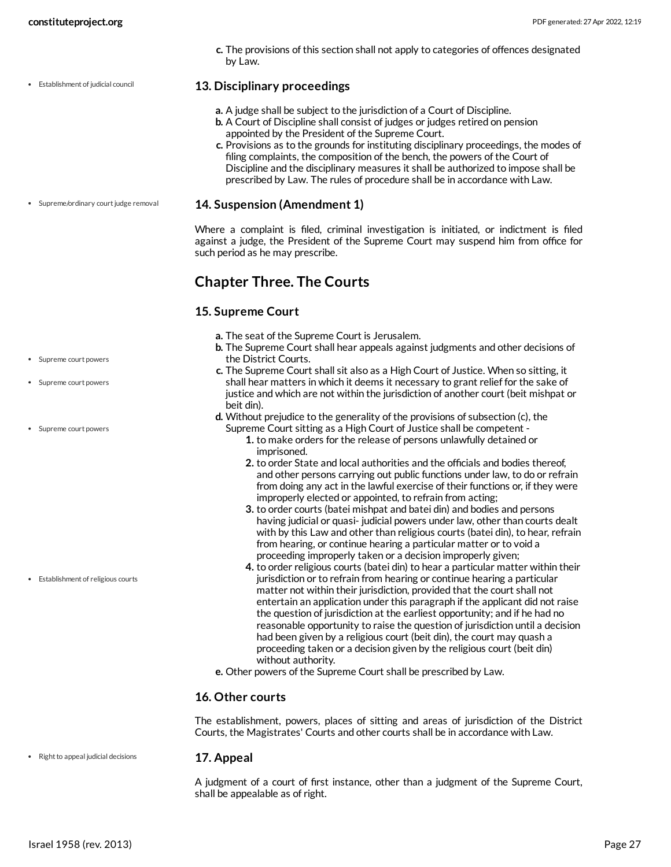Establishment of judicial council

**c.** The provisions of this section shall not apply to categories of offences designated by Law.

### <span id="page-26-1"></span>**13. Disciplinary proceedings**

- **a.** A judge shall be subject to the jurisdiction of a Court of Discipline.
- **b.** A Court of Discipline shall consist of judges or judges retired on pension appointed by the President of the Supreme Court.
- **c.** Provisions as to the grounds for instituting disciplinary proceedings, the modes of filing complaints, the composition of the bench, the powers of the Court of Discipline and the disciplinary measures it shall be authorized to impose shall be prescribed by Law. The rules of procedure shall be in accordance with Law.

### <span id="page-26-4"></span>**14. Suspension (Amendment 1)**

Where a complaint is filed, criminal investigation is initiated, or indictment is filed against a judge, the President of the Supreme Court may suspend him from office for such period as he may prescribe.

### <span id="page-26-0"></span>**Chapter Three. The Courts**

### <span id="page-26-2"></span>**15. Supreme Court**

- **a.** The seat of the Supreme Court is Jerusalem.
- **b.** The Supreme Court shall hear appeals against judgments and other decisions of the District Courts.
- **c.** The Supreme Court shall sit also as a High Court of Justice. When so sitting, it shall hear matters in which it deems it necessary to grant relief for the sake of justice and which are not within the jurisdiction of another court (beit mishpat or beit din).
- **d.** Without prejudice to the generality of the provisions of subsection (c), the Supreme Court sitting as a High Court of Justice shall be competent -
	- **1.** to make orders for the release of persons unlawfully detained or imprisoned.
	- **2.** to order State and local authorities and the officials and bodies thereof, and other persons carrying out public functions under law, to do or refrain from doing any act in the lawful exercise of their functions or, if they were improperly elected or appointed, to refrain from acting;
	- **3.** to order courts (batei mishpat and batei din) and bodies and persons having judicial or quasi- judicial powers under law, other than courts dealt with by this Law and other than religious courts (batei din), to hear, refrain from hearing, or continue hearing a particular matter or to void a proceeding improperly taken or a decision improperly given;
	- **4.** to order religious courts (batei din) to hear a particular matter within their jurisdiction or to refrain from hearing or continue hearing a particular matter not within their jurisdiction, provided that the court shall not entertain an application under this paragraph if the applicant did not raise the question of jurisdiction at the earliest opportunity; and if he had no reasonable opportunity to raise the question of jurisdiction until a decision had been given by a religious court (beit din), the court may quash a proceeding taken or a decision given by the religious court (beit din) without authority.
- **e.** Other powers of the Supreme Court shall be prescribed by Law.

### **16. Other courts**

The establishment, powers, places of sitting and areas of jurisdiction of the District Courts, the Magistrates' Courts and other courts shall be in accordance with Law.

#### **17. Appeal** • Right to appeal judicial decisions

<span id="page-26-3"></span>A judgment of a court of first instance, other than a judgment of the Supreme Court, shall be appealable as of right.

• Supreme/ordinary court judge removal

- Supreme court powers
- Supreme court powers
- Supreme court powers

Establishment of religious courts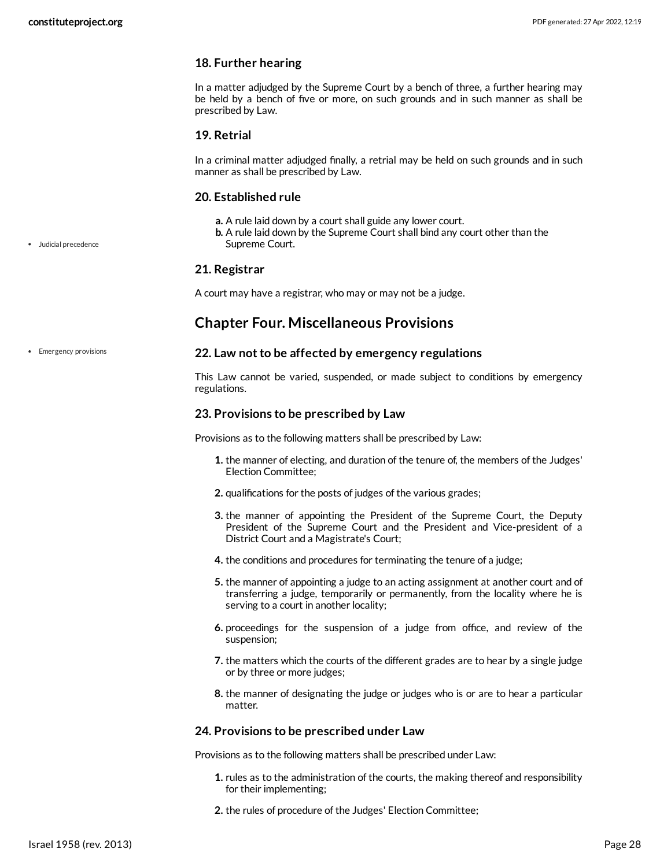### **18. Further hearing**

In a matter adjudged by the Supreme Court by a bench of three, a further hearing may be held by a bench of five or more, on such grounds and in such manner as shall be prescribed by Law.

### **19. Retrial**

In a criminal matter adjudged finally, a retrial may be held on such grounds and in such manner as shall be prescribed by Law.

### <span id="page-27-2"></span>**20. Established rule**

- **a.** A rule laid down by a court shall guide any lower court.
- **b.** A rule laid down by the Supreme Court shall bind any court other than the Supreme Court.

### **21. Registrar**

A court may have a registrar, who may or may not be a judge.

### <span id="page-27-0"></span>**Chapter Four. Miscellaneous Provisions**

**•** Emergency provisions

Judicial precedence

### <span id="page-27-1"></span>**22. Law notto be affected by emergency regulations**

This Law cannot be varied, suspended, or made subject to conditions by emergency regulations.

### **23. Provisions to be prescribed by Law**

Provisions as to the following matters shall be prescribed by Law:

- **1.** the manner of electing, and duration of the tenure of, the members of the Judges' Election Committee;
- **2.** qualifications for the posts of judges of the various grades;
- **3.** the manner of appointing the President of the Supreme Court, the Deputy President of the Supreme Court and the President and Vice-president of a District Court and a Magistrate's Court;
- **4.** the conditions and procedures for terminating the tenure of a judge;
- **5.** the manner of appointing a judge to an acting assignment at another court and of transferring a judge, temporarily or permanently, from the locality where he is serving to a court in another locality;
- **6.** proceedings for the suspension of a judge from office, and review of the suspension;
- **7.** the matters which the courts of the different grades are to hear by a single judge or by three or more judges;
- **8.** the manner of designating the judge or judges who is or are to hear a particular matter.

### **24. Provisions to be prescribed under Law**

Provisions as to the following matters shall be prescribed under Law:

- **1.** rules as to the administration of the courts, the making thereof and responsibility for their implementing;
- **2.** the rules of procedure of the Judges' Election Committee;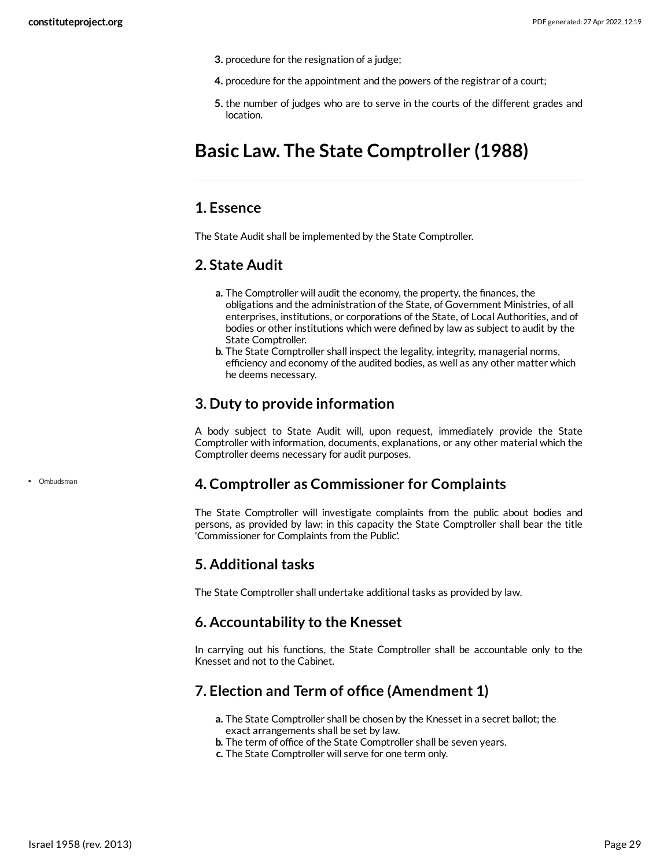- **3.** procedure for the resignation of a judge;
- **4.** procedure for the appointment and the powers of the registrar of a court;
- **5.** the number of judges who are to serve in the courts of the different grades and location.

## <span id="page-28-0"></span>**Basic Law. The State Comptroller (1988)**

### <span id="page-28-1"></span>**1. Essence**

The State Audit shall be implemented by the State Comptroller.

### <span id="page-28-2"></span>**2. State Audit**

- **a.** The Comptroller will audit the economy, the property, the finances, the obligations and the administration of the State, of Government Ministries, of all enterprises, institutions, or corporations of the State, of Local Authorities, and of bodies or other institutions which were defined by law as subject to audit by the State Comptroller.
- **b.** The State Comptroller shall inspect the legality, integrity, managerial norms, efficiency and economy of the audited bodies, as well as any other matter which he deems necessary.

### <span id="page-28-3"></span>**3. Duty to provide information**

A body subject to State Audit will, upon request, immediately provide the State Comptroller with information, documents, explanations, or any other material which the Comptroller deems necessary for audit purposes.

### <span id="page-28-4"></span>**4. Comptroller as Commissioner for Complaints**

The State Comptroller will investigate complaints from the public about bodies and persons, as provided by law: in this capacity the State Comptroller shall bear the title 'Commissioner for Complaints from the Public'.

### <span id="page-28-5"></span>**5. Additional tasks**

The State Comptroller shall undertake additional tasks as provided by law.

### <span id="page-28-6"></span>**6. Accountability to the Knesset**

In carrying out his functions, the State Comptroller shall be accountable only to the Knesset and not to the Cabinet.

### <span id="page-28-7"></span>**7. Election and Term of office (Amendment 1)**

- **a.** The State Comptroller shall be chosen by the Knesset in a secret ballot; the exact arrangements shall be set by law.
- **b.** The term of office of the State Comptroller shall be seven years.
- **c.** The State Comptroller will serve for one term only.

• Ombudsman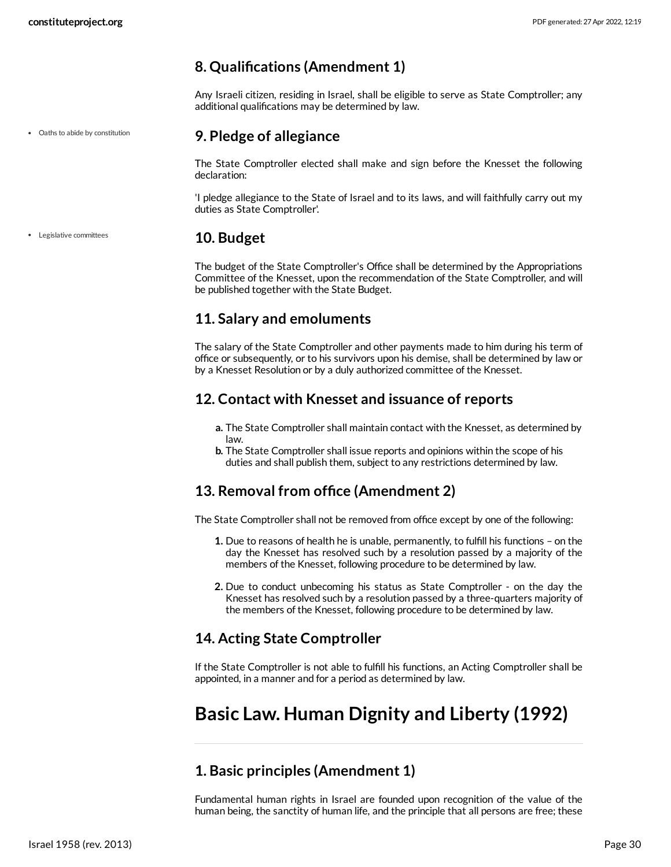### <span id="page-29-0"></span>**8. Qualifications (Amendment 1)**

Any Israeli citizen, residing in Israel, shall be eligible to serve as State Comptroller; any additional qualifications may be determined by law.

### <span id="page-29-1"></span>**9. Pledge of allegiance**

The State Comptroller elected shall make and sign before the Knesset the following declaration:

'I pledge allegiance to the State of Israel and to its laws, and will faithfully carry out my duties as State Comptroller'.

### <span id="page-29-2"></span>**10. Budget**

The budget of the State Comptroller's Office shall be determined by the Appropriations Committee of the Knesset, upon the recommendation of the State Comptroller, and will be published together with the State Budget.

### <span id="page-29-3"></span>**11. Salary and emoluments**

The salary of the State Comptroller and other payments made to him during his term of office or subsequently, or to his survivors upon his demise, shall be determined by law or by a Knesset Resolution or by a duly authorized committee of the Knesset.

### <span id="page-29-4"></span>**12. Contact with Knesset and issuance of reports**

- **a.** The State Comptroller shall maintain contact with the Knesset, as determined by law.
- **b.** The State Comptroller shall issue reports and opinions within the scope of his duties and shall publish them, subject to any restrictions determined by law.

### <span id="page-29-5"></span>**13. Removal from office (Amendment 2)**

The State Comptroller shall not be removed from office except by one of the following:

- **1.** Due to reasons of health he is unable, permanently, to fulfill his functions on the day the Knesset has resolved such by a resolution passed by a majority of the members of the Knesset, following procedure to be determined by law.
- **2.** Due to conduct unbecoming his status as State Comptroller on the day the Knesset has resolved such by a resolution passed by a three-quarters majority of the members of the Knesset, following procedure to be determined by law.

### <span id="page-29-6"></span>**14. Acting State Comptroller**

If the State Comptroller is not able to fulfill his functions, an Acting Comptroller shall be appointed, in a manner and for a period as determined by law.

## <span id="page-29-7"></span>**Basic Law. Human Dignity and Liberty (1992)**

### <span id="page-29-8"></span>**1. Basic principles (Amendment 1)**

Fundamental human rights in Israel are founded upon recognition of the value of the human being, the sanctity of human life, and the principle that all persons are free; these

Oaths to abide by constitution

Legislative committees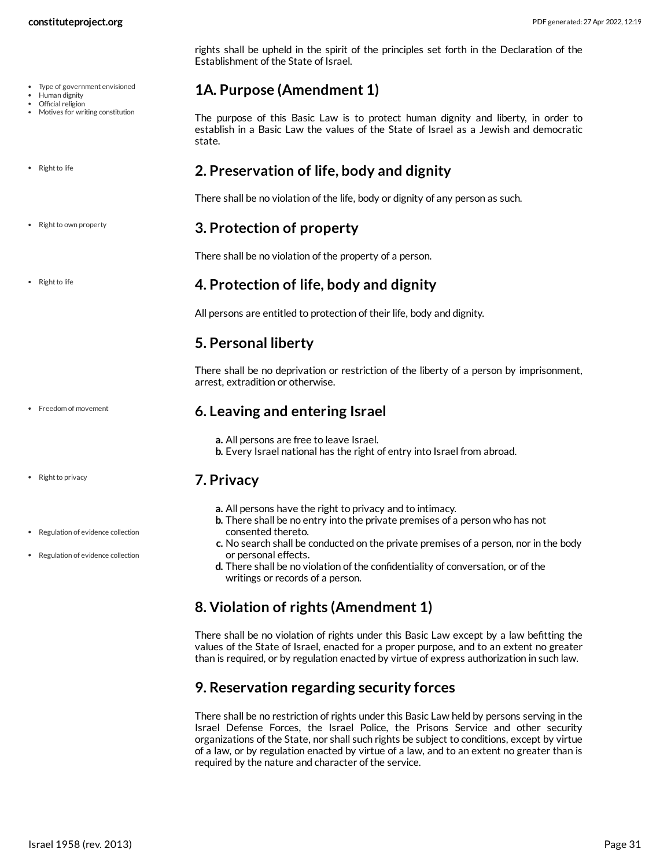- Type of government envisioned
- Human dignity
- Official religion Motives for writing constitution
- Right to life
- Right to own property
- Right to life

• Freedom of movement

- Right to privacy
- Regulation of evidence collection
- Regulation of evidence collection

rights shall be upheld in the spirit of the principles set forth in the Declaration of the Establishment of the State of Israel.

### <span id="page-30-0"></span>**1A. Purpose (Amendment 1)**

The purpose of this Basic Law is to protect human dignity and liberty, in order to establish in a Basic Law the values of the State of Israel as a Jewish and democratic state.

### <span id="page-30-1"></span>**2. Preservation of life, body and dignity**

There shall be no violation of the life, body or dignity of any person as such.

### <span id="page-30-2"></span>**3. Protection of property**

There shall be no violation of the property of a person.

### <span id="page-30-3"></span>**4. Protection of life, body and dignity**

All persons are entitled to protection of their life, body and dignity.

### <span id="page-30-4"></span>**5. Personal liberty**

There shall be no deprivation or restriction of the liberty of a person by imprisonment, arrest, extradition or otherwise.

### <span id="page-30-5"></span>**6. Leaving and entering Israel**

**a.** All persons are free to leave Israel.

**b.** Every Israel national has the right of entry into Israel from abroad.

### <span id="page-30-6"></span>**7. Privacy**

- **a.** All persons have the right to privacy and to intimacy.
- **b.** There shall be no entry into the private premises of a person who has not consented thereto.
- **c.** No search shall be conducted on the private premises of a person, nor in the body or personal effects.
- **d.** There shall be no violation of the confidentiality of conversation, or of the writings or records of a person.

## <span id="page-30-7"></span>**8. Violation of rights (Amendment 1)**

There shall be no violation of rights under this Basic Law except by a law befitting the values of the State of Israel, enacted for a proper purpose, and to an extent no greater than is required, or by regulation enacted by virtue of express authorization in such law.

### <span id="page-30-8"></span>**9. Reservation regarding security forces**

There shall be no restriction of rights under this Basic Law held by persons serving in the Israel Defense Forces, the Israel Police, the Prisons Service and other security organizations of the State, nor shall such rights be subject to conditions, except by virtue of a law, or by regulation enacted by virtue of a law, and to an extent no greater than is required by the nature and character of the service.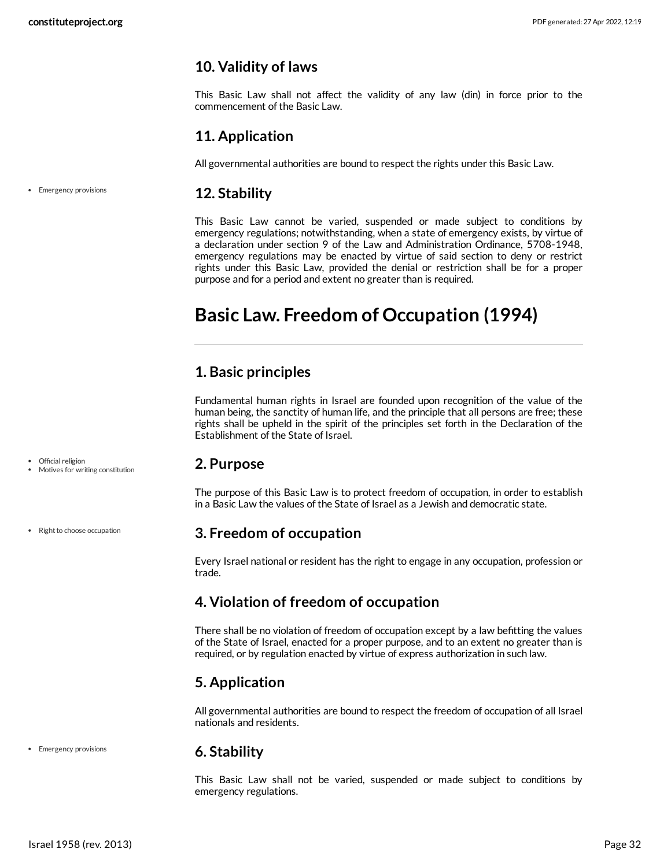### <span id="page-31-0"></span>**10. Validity of laws**

This Basic Law shall not affect the validity of any law (din) in force prior to the commencement of the Basic Law.

### <span id="page-31-1"></span>**11. Application**

<span id="page-31-2"></span>All governmental authorities are bound to respect the rights under this Basic Law.

#### **12. Stability** • Emergency provisions

This Basic Law cannot be varied, suspended or made subject to conditions by emergency regulations; notwithstanding, when a state of emergency exists, by virtue of a declaration under section 9 of the Law and Administration Ordinance, 5708-1948, emergency regulations may be enacted by virtue of said section to deny or restrict rights under this Basic Law, provided the denial or restriction shall be for a proper purpose and for a period and extent no greater than is required.

## <span id="page-31-3"></span>**Basic Law. Freedom of Occupation (1994)**

### <span id="page-31-4"></span>**1. Basic principles**

Fundamental human rights in Israel are founded upon recognition of the value of the human being, the sanctity of human life, and the principle that all persons are free; these rights shall be upheld in the spirit of the principles set forth in the Declaration of the Establishment of the State of Israel.

### <span id="page-31-5"></span>**2. Purpose**

The purpose of this Basic Law is to protect freedom of occupation, in order to establish in a Basic Law the values of the State of Israel as a Jewish and democratic state.

### <span id="page-31-6"></span>**3. Freedom of occupation**

Every Israel national or resident has the right to engage in any occupation, profession or trade.

### <span id="page-31-7"></span>**4. Violation of freedom of occupation**

There shall be no violation of freedom of occupation except by a law befitting the values of the State of Israel, enacted for a proper purpose, and to an extent no greater than is required, or by regulation enacted by virtue of express authorization in such law.

### <span id="page-31-8"></span>**5. Application**

All governmental authorities are bound to respect the freedom of occupation of all Israel nationals and residents.

• Emergency provisions

### <span id="page-31-9"></span>**6. Stability**

This Basic Law shall not be varied, suspended or made subject to conditions by emergency regulations.

Official religion Motives for writing constitution

• Right to choose occupation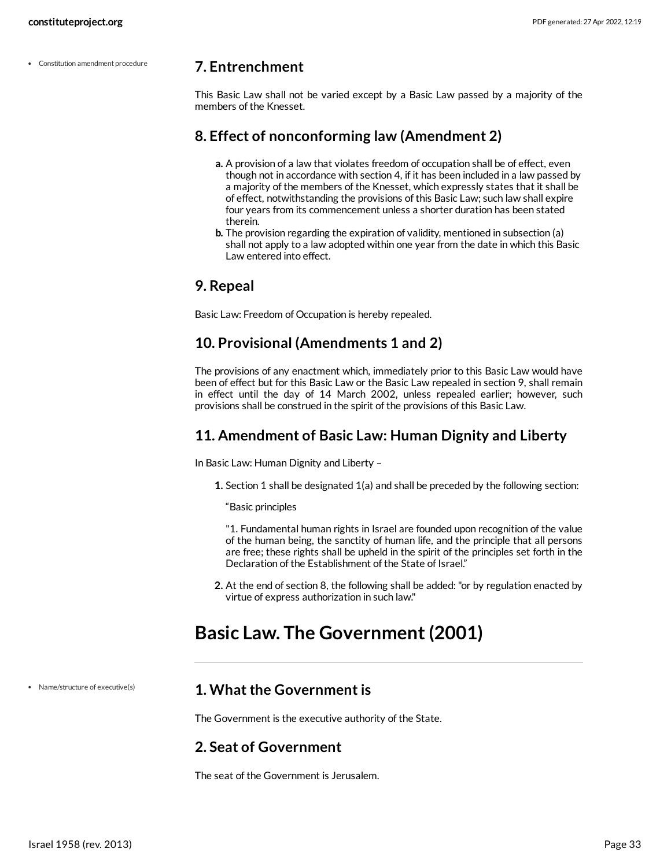Constitution amendment procedure

### <span id="page-32-0"></span>**7. Entrenchment**

This Basic Law shall not be varied except by a Basic Law passed by a majority of the members of the Knesset.

### <span id="page-32-1"></span>**8. Effect of nonconforming law (Amendment 2)**

- **a.** A provision of a law that violates freedom of occupation shall be of effect, even though not in accordance with section 4, if it has been included in a law passed by a majority of the members of the Knesset, which expressly states that it shall be of effect, notwithstanding the provisions of this Basic Law; such law shall expire four years from its commencement unless a shorter duration has been stated therein.
- **b.** The provision regarding the expiration of validity, mentioned in subsection (a) shall not apply to a law adopted within one year from the date in which this Basic Law entered into effect.

### <span id="page-32-2"></span>**9. Repeal**

Basic Law: Freedom of Occupation is hereby repealed.

### <span id="page-32-3"></span>**10. Provisional (Amendments 1 and 2)**

The provisions of any enactment which, immediately prior to this Basic Law would have been of effect but for this Basic Law or the Basic Law repealed in section 9, shall remain in effect until the day of 14 March 2002, unless repealed earlier; however, such provisions shall be construed in the spirit of the provisions of this Basic Law.

### <span id="page-32-4"></span>**11. Amendment of Basic Law: Human Dignity and Liberty**

In Basic Law: Human Dignity and Liberty –

**1.** Section 1 shall be designated 1(a) and shall be preceded by the following section:

"Basic principles

"1. Fundamental human rights in Israel are founded upon recognition of the value of the human being, the sanctity of human life, and the principle that all persons are free; these rights shall be upheld in the spirit of the principles set forth in the Declaration of the Establishment of the State of Israel."

**2.** At the end of section 8, the following shall be added: "or by regulation enacted by virtue of express authorization in such law."

## <span id="page-32-5"></span>**Basic Law. The Government (2001)**

Name/structure of executive(s)

### <span id="page-32-6"></span>**1. What the Government is**

The Government is the executive authority of the State.

### <span id="page-32-7"></span>**2. Seat of Government**

The seat of the Government is Jerusalem.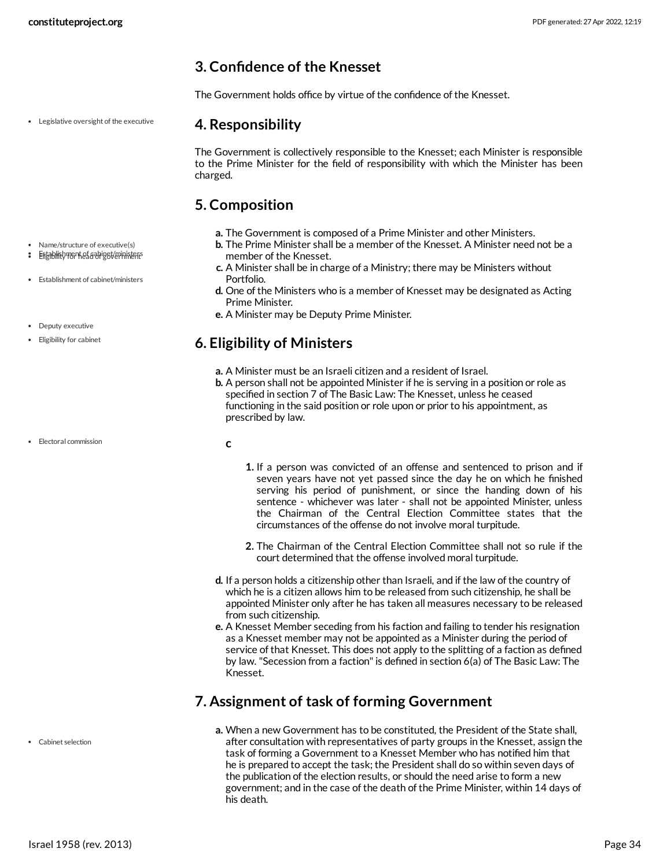### <span id="page-33-0"></span>**3. Confidence of the Knesset**

The Government holds office by virtue of the confidence of the Knesset.

Legislative oversight of the executive

Name/structure of executive(s) Establishment of cabinet/ministers Eligibility for head of government

Establishment of cabinet/ministers

Deputy executive Eligibility for cabinet

### <span id="page-33-1"></span>**4. Responsibility**

The Government is collectively responsible to the Knesset; each Minister is responsible to the Prime Minister for the field of responsibility with which the Minister has been charged.

### <span id="page-33-2"></span>**5. Composition**

<span id="page-33-5"></span>**c**

- **a.** The Government is composed of a Prime Minister and other Ministers.
- **b.** The Prime Minister shall be a member of the Knesset. A Minister need not be a member of the Knesset.
- **c.** A Minister shall be in charge of a Ministry; there may be Ministers without Portfolio.
- **d.** One of the Ministers who is a member of Knesset may be designated as Acting Prime Minister.
- **e.** A Minister may be Deputy Prime Minister.

### <span id="page-33-3"></span>**6. Eligibility of Ministers**

- **a.** A Minister must be an Israeli citizen and a resident of Israel.
- **b.** A person shall not be appointed Minister if he is serving in a position or role as specified in section 7 of The Basic Law: The Knesset, unless he ceased functioning in the said position or role upon or prior to his appointment, as prescribed by law.

• **Electoral commission** 

Cabinet selection

- **1.** If a person was convicted of an offense and sentenced to prison and if seven years have not yet passed since the day he on which he finished serving his period of punishment, or since the handing down of his sentence - whichever was later - shall not be appointed Minister, unless the Chairman of the Central Election Committee states that the circumstances of the offense do not involve moral turpitude.
- **2.** The Chairman of the Central Election Committee shall not so rule if the court determined that the offense involved moral turpitude.
- **d.** If a person holds a citizenship other than Israeli, and if the law of the country of which he is a citizen allows him to be released from such citizenship, he shall be appointed Minister only after he has taken all measures necessary to be released from such citizenship.
- **e.** A Knesset Member seceding from his faction and failing to tender his resignation as a Knesset member may not be appointed as a Minister during the period of service of that Knesset. This does not apply to the splitting of a faction as defined by law. "Secession from a faction" is defined in section 6(a) of The Basic Law: The Knesset.

### <span id="page-33-4"></span>**7. Assignment of task of forming Government**

**a.** When a new Government has to be constituted, the President of the State shall, after consultation with representatives of party groups in the Knesset, assign the task of forming a Government to a Knesset Member who has notified him that he is prepared to accept the task; the President shall do so within seven days of the publication of the election results, or should the need arise to form a new government; and in the case of the death of the Prime Minister, within 14 days of his death.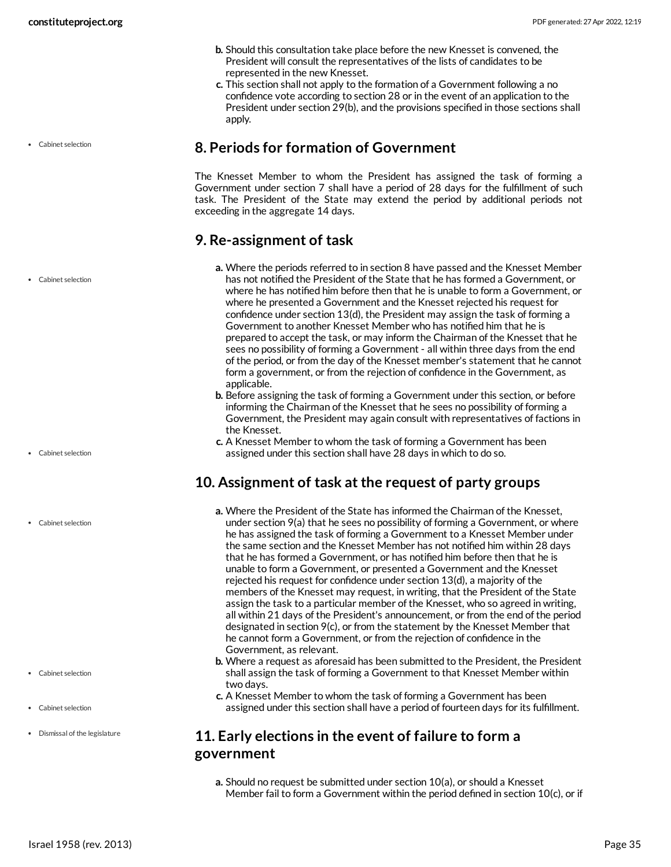- **b.** Should this consultation take place before the new Knesset is convened, the President will consult the representatives of the lists of candidates to be represented in the new Knesset.
- **c.** This section shall not apply to the formation of a Government following a no confidence vote according to section 28 or in the event of an application to the President under section 29(b), and the provisions specified in those sections shall apply.

### <span id="page-34-0"></span>**8. Periods for formation of Government**

The Knesset Member to whom the President has assigned the task of forming a Government under section 7 shall have a period of 28 days for the fulfillment of such task. The President of the State may extend the period by additional periods not exceeding in the aggregate 14 days.

### <span id="page-34-1"></span>**9. Re-assignment of task**

- **a.** Where the periods referred to in section 8 have passed and the Knesset Member has not notified the President of the State that he has formed a Government, or where he has notified him before then that he is unable to form a Government, or where he presented a Government and the Knesset rejected his request for confidence under section 13(d), the President may assign the task of forming a Government to another Knesset Member who has notified him that he is prepared to accept the task, or may inform the Chairman of the Knesset that he sees no possibility of forming a Government - all within three days from the end of the period, or from the day of the Knesset member's statement that he cannot form a government, or from the rejection of confidence in the Government, as applicable.
- **b.** Before assigning the task of forming a Government under this section, or before informing the Chairman of the Knesset that he sees no possibility of forming a Government, the President may again consult with representatives of factions in the Knesset.
- **c.** A Knesset Member to whom the task of forming a Government has been assigned under this section shall have 28 days in which to do so.

### <span id="page-34-2"></span>**10. Assignment of task at the request of party groups**

- **a.** Where the President of the State has informed the Chairman of the Knesset, under section 9(a) that he sees no possibility of forming a Government, or where he has assigned the task of forming a Government to a Knesset Member under the same section and the Knesset Member has not notified him within 28 days that he has formed a Government, or has notified him before then that he is unable to form a Government, or presented a Government and the Knesset rejected his request for confidence under section 13(d), a majority of the members of the Knesset may request, in writing, that the President of the State assign the task to a particular member of the Knesset, who so agreed in writing, all within 21 days of the President's announcement, or from the end of the period designated in section 9(c), or from the statement by the Knesset Member that he cannot form a Government, or from the rejection of confidence in the Government, as relevant.
- **b.** Where a request as aforesaid has been submitted to the President, the President shall assign the task of forming a Government to that Knesset Member within two days.
- **c.** A Knesset Member to whom the task of forming a Government has been assigned under this section shall have a period of fourteen days for its fulfillment.

### <span id="page-34-3"></span>**11. Early elections in the event of failure to form a government**

**a.** Should no request be submitted under section 10(a), or should a Knesset Member fail to form a Government within the period defined in section 10(c), or if

Cabinet selection

Cabinet selection

Cabinet selection

Cabinet selection

- Cabinet selection
- Cabinet selection
- Dismissal of the legislature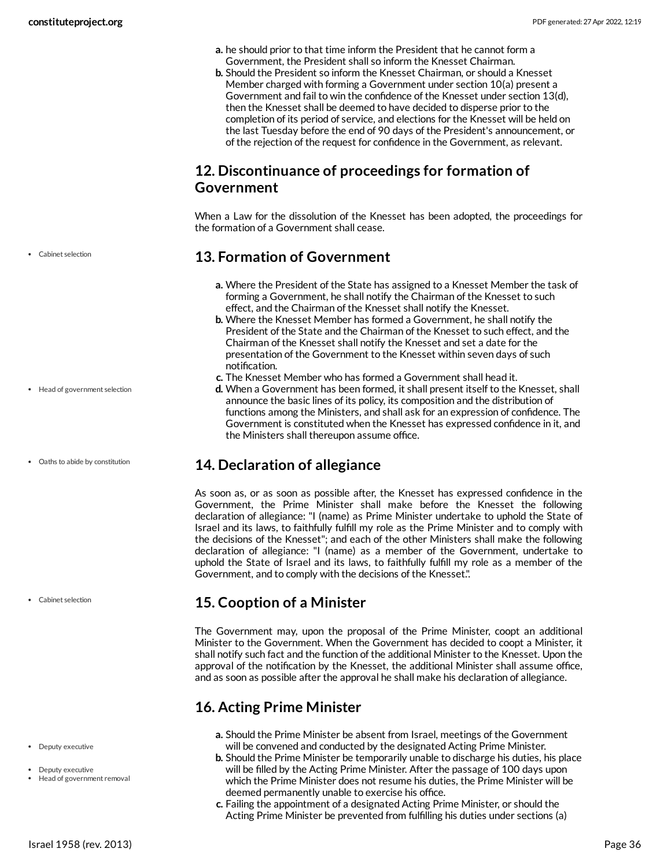- **a.** he should prior to that time inform the President that he cannot form a Government, the President shall so inform the Knesset Chairman.
- **b.** Should the President so inform the Knesset Chairman, or should a Knesset Member charged with forming a Government under section 10(a) present a Government and fail to win the confidence of the Knesset under section 13(d), then the Knesset shall be deemed to have decided to disperse prior to the completion of its period of service, and elections for the Knesset will be held on the last Tuesday before the end of 90 days of the President's announcement, or of the rejection of the request for confidence in the Government, as relevant.

### <span id="page-35-0"></span>**12. Discontinuance of proceedings for formation of Government**

When a Law for the dissolution of the Knesset has been adopted, the proceedings for the formation of a Government shall cease.

### <span id="page-35-1"></span>**13. Formation of Government**

- **a.** Where the President of the State has assigned to a Knesset Member the task of forming a Government, he shall notify the Chairman of the Knesset to such effect, and the Chairman of the Knesset shall notify the Knesset.
- **b.** Where the Knesset Member has formed a Government, he shall notify the President of the State and the Chairman of the Knesset to such effect, and the Chairman of the Knesset shall notify the Knesset and set a date for the presentation of the Government to the Knesset within seven days of such notification.
- **c.** The Knesset Member who has formed a Government shall head it.
- **d.** When a Government has been formed, it shall present itself to the Knesset, shall announce the basic lines of its policy, its composition and the distribution of functions among the Ministers, and shall ask for an expression of confidence. The Government is constituted when the Knesset has expressed confidence in it, and the Ministers shall thereupon assume office.

### <span id="page-35-2"></span>**14. Declaration of allegiance**

As soon as, or as soon as possible after, the Knesset has expressed confidence in the Government, the Prime Minister shall make before the Knesset the following declaration of allegiance: "I (name) as Prime Minister undertake to uphold the State of Israel and its laws, to faithfully fulfill my role as the Prime Minister and to comply with the decisions of the Knesset"; and each of the other Ministers shall make the following declaration of allegiance: "I (name) as a member of the Government, undertake to uphold the State of Israel and its laws, to faithfully fulfill my role as a member of the Government, and to comply with the decisions of the Knesset.".

### <span id="page-35-3"></span>**15. Cooption of a Minister**

The Government may, upon the proposal of the Prime Minister, coopt an additional Minister to the Government. When the Government has decided to coopt a Minister, it shall notify such fact and the function of the additional Minister to the Knesset. Upon the approval of the notification by the Knesset, the additional Minister shall assume office, and as soon as possible after the approval he shall make his declaration of allegiance.

### <span id="page-35-4"></span>**16. Acting Prime Minister**

- **a.** Should the Prime Minister be absent from Israel, meetings of the Government will be convened and conducted by the designated Acting Prime Minister.
- **b.** Should the Prime Minister be temporarily unable to discharge his duties, his place will be filled by the Acting Prime Minister. After the passage of 100 days upon which the Prime Minister does not resume his duties, the Prime Minister will be deemed permanently unable to exercise his office.
- **c.** Failing the appointment of a designated Acting Prime Minister, or should the Acting Prime Minister be prevented from fulfilling his duties under sections (a)

Cabinet selection

Head of government selection

Oaths to abide by constitution

Cabinet selection

#### Deputy executive

- · Deputy executive
- Head of government removal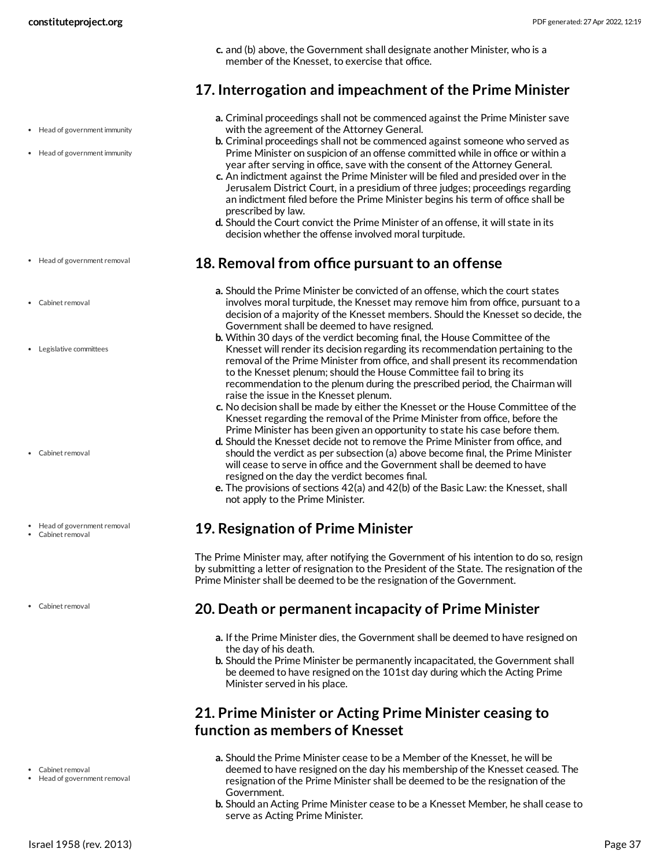**c.** and (b) above, the Government shall designate another Minister, who is a member of the Knesset, to exercise that office.

### <span id="page-36-0"></span>**17. Interrogation and impeachment of the Prime Minister**

- Head of government immunity
- Head of government immunity

- Head of government removal
- Cabinet removal
- Legislative committees

- Cabinet removal
- Head of government removal
- Cabinet removal
- Cabinet removal

- 
- Cabinet removal
- Head of government removal
- **a.** Criminal proceedings shall not be commenced against the Prime Minister save with the agreement of the Attorney General.
- **b.** Criminal proceedings shall not be commenced against someone who served as Prime Minister on suspicion of an offense committed while in office or within a year after serving in office, save with the consent of the Attorney General.
- **c.** An indictment against the Prime Minister will be filed and presided over in the Jerusalem District Court, in a presidium of three judges; proceedings regarding an indictment filed before the Prime Minister begins his term of office shall be prescribed by law.
- **d.** Should the Court convict the Prime Minister of an offense, it will state in its decision whether the offense involved moral turpitude.

### <span id="page-36-1"></span>**18. Removal from office pursuant to an offense**

- **a.** Should the Prime Minister be convicted of an offense, which the court states involves moral turpitude, the Knesset may remove him from office, pursuant to a decision of a majority of the Knesset members. Should the Knesset so decide, the Government shall be deemed to have resigned.
- **b.** Within 30 days of the verdict becoming final, the House Committee of the Knesset will render its decision regarding its recommendation pertaining to the removal of the Prime Minister from office, and shall present its recommendation to the Knesset plenum; should the House Committee fail to bring its recommendation to the plenum during the prescribed period, the Chairman will raise the issue in the Knesset plenum.
- **c.** No decision shall be made by either the Knesset or the House Committee of the Knesset regarding the removal of the Prime Minister from office, before the Prime Minister has been given an opportunity to state his case before them.
- **d.** Should the Knesset decide not to remove the Prime Minister from office, and should the verdict as per subsection (a) above become final, the Prime Minister will cease to serve in office and the Government shall be deemed to have resigned on the day the verdict becomes final.
- **e.** The provisions of sections 42(a) and 42(b) of the Basic Law: the Knesset, shall not apply to the Prime Minister.

### <span id="page-36-2"></span>**19. Resignation of Prime Minister**

The Prime Minister may, after notifying the Government of his intention to do so, resign by submitting a letter of resignation to the President of the State. The resignation of the Prime Minister shall be deemed to be the resignation of the Government.

### <span id="page-36-3"></span>**20. Death or permanent incapacity of Prime Minister**

- **a.** If the Prime Minister dies, the Government shall be deemed to have resigned on the day of his death.
- **b.** Should the Prime Minister be permanently incapacitated, the Government shall be deemed to have resigned on the 101st day during which the Acting Prime Minister served in his place.

### <span id="page-36-4"></span>**21. Prime Minister or Acting Prime Minister ceasing to function as members of Knesset**

- **a.** Should the Prime Minister cease to be a Member of the Knesset, he will be deemed to have resigned on the day his membership of the Knesset ceased. The resignation of the Prime Minister shall be deemed to be the resignation of the Government.
- **b.** Should an Acting Prime Minister cease to be a Knesset Member, he shall cease to serve as Acting Prime Minister.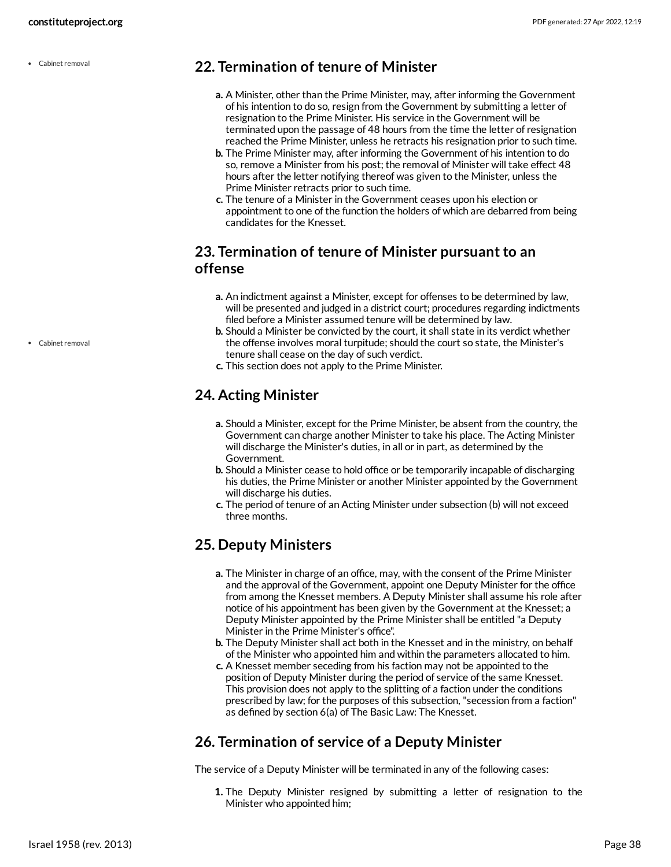Cabinet removal

### <span id="page-37-0"></span>**22. Termination of tenure of Minister**

- **a.** A Minister, other than the Prime Minister, may, after informing the Government of his intention to do so, resign from the Government by submitting a letter of resignation to the Prime Minister. His service in the Government will be terminated upon the passage of 48 hours from the time the letter of resignation reached the Prime Minister, unless he retracts his resignation prior to such time.
- **b.** The Prime Minister may, after informing the Government of his intention to do so, remove a Minister from his post; the removal of Minister will take effect 48 hours after the letter notifying thereof was given to the Minister, unless the Prime Minister retracts prior to such time.
- **c.** The tenure of a Minister in the Government ceases upon his election or appointment to one of the function the holders of which are debarred from being candidates for the Knesset.

### <span id="page-37-1"></span>**23. Termination of tenure of Minister pursuant to an offense**

- **a.** An indictment against a Minister, except for offenses to be determined by law, will be presented and judged in a district court; procedures regarding indictments filed before a Minister assumed tenure will be determined by law.
- **b.** Should a Minister be convicted by the court, it shall state in its verdict whether the offense involves moral turpitude; should the court so state, the Minister's tenure shall cease on the day of such verdict.
- **c.** This section does not apply to the Prime Minister.

### <span id="page-37-2"></span>**24. Acting Minister**

- **a.** Should a Minister, except for the Prime Minister, be absent from the country, the Government can charge another Minister to take his place. The Acting Minister will discharge the Minister's duties, in all or in part, as determined by the Government.
- **b.** Should a Minister cease to hold office or be temporarily incapable of discharging his duties, the Prime Minister or another Minister appointed by the Government will discharge his duties.
- **c.** The period of tenure of an Acting Minister under subsection (b) will not exceed three months.

### <span id="page-37-3"></span>**25. Deputy Ministers**

- **a.** The Minister in charge of an office, may, with the consent of the Prime Minister and the approval of the Government, appoint one Deputy Minister for the office from among the Knesset members. A Deputy Minister shall assume his role after notice of his appointment has been given by the Government at the Knesset; a Deputy Minister appointed by the Prime Minister shall be entitled "a Deputy Minister in the Prime Minister's office".
- **b.** The Deputy Minister shall act both in the Knesset and in the ministry, on behalf of the Minister who appointed him and within the parameters allocated to him.
- **c.** A Knesset member seceding from his faction may not be appointed to the position of Deputy Minister during the period of service of the same Knesset. This provision does not apply to the splitting of a faction under the conditions prescribed by law; for the purposes of this subsection, "secession from a faction" as defined by section 6(a) of The Basic Law: The Knesset.

### <span id="page-37-4"></span>**26. Termination of service of a Deputy Minister**

The service of a Deputy Minister will be terminated in any of the following cases:

**1.** The Deputy Minister resigned by submitting a letter of resignation to the Minister who appointed him;

Cabinet removal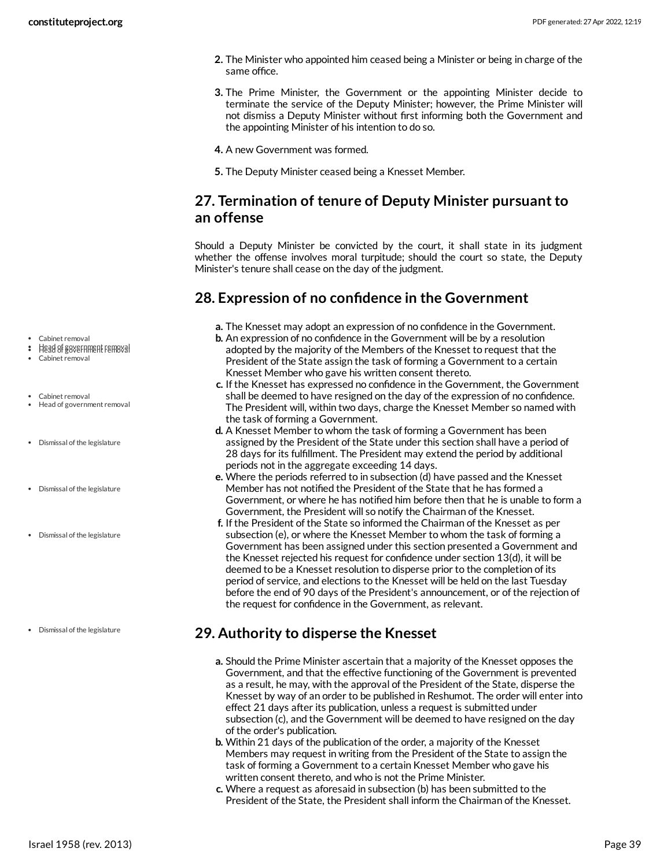- **2.** The Minister who appointed him ceased being a Minister or being in charge of the same office.
- **3.** The Prime Minister, the Government or the appointing Minister decide to terminate the service of the Deputy Minister; however, the Prime Minister will not dismiss a Deputy Minister without first informing both the Government and the appointing Minister of his intention to do so.
- **4.** A new Government was formed.
- **5.** The Deputy Minister ceased being a Knesset Member.

### <span id="page-38-0"></span>**27. Termination of tenure of Deputy Minister pursuant to an offense**

Should a Deputy Minister be convicted by the court, it shall state in its judgment whether the offense involves moral turpitude; should the court so state, the Deputy Minister's tenure shall cease on the day of the judgment.

### <span id="page-38-1"></span>**28. Expression of no confidence in the Government**

- **a.** The Knesset may adopt an expression of no confidence in the Government.
- **b.** An expression of no confidence in the Government will be by a resolution adopted by the majority of the Members of the Knesset to request that the President of the State assign the task of forming a Government to a certain Knesset Member who gave his written consent thereto.
- **c.** If the Knesset has expressed no confidence in the Government, the Government shall be deemed to have resigned on the day of the expression of no confidence. The President will, within two days, charge the Knesset Member so named with the task of forming a Government.
- **d.** A Knesset Member to whom the task of forming a Government has been assigned by the President of the State under this section shall have a period of 28 days for its fulfillment. The President may extend the period by additional periods not in the aggregate exceeding 14 days.
- **e.** Where the periods referred to in subsection (d) have passed and the Knesset Member has not notified the President of the State that he has formed a Government, or where he has notified him before then that he is unable to form a Government, the President will so notify the Chairman of the Knesset.
- **f.** If the President of the State so informed the Chairman of the Knesset as per subsection (e), or where the Knesset Member to whom the task of forming a Government has been assigned under this section presented a Government and the Knesset rejected his request for confidence under section 13(d), it will be deemed to be a Knesset resolution to disperse prior to the completion of its period of service, and elections to the Knesset will be held on the last Tuesday before the end of 90 days of the President's announcement, or of the rejection of the request for confidence in the Government, as relevant.

### <span id="page-38-2"></span>**29. Authority to disperse the Knesset**

- **a.** Should the Prime Minister ascertain that a majority of the Knesset opposes the Government, and that the effective functioning of the Government is prevented as a result, he may, with the approval of the President of the State, disperse the Knesset by way of an order to be published in Reshumot. The order will enter into effect 21 days after its publication, unless a request is submitted under subsection (c), and the Government will be deemed to have resigned on the day of the order's publication.
- **b.** Within 21 days of the publication of the order, a majority of the Knesset Members may request in writing from the President of the State to assign the task of forming a Government to a certain Knesset Member who gave his written consent thereto, and who is not the Prime Minister.
- **c.** Where a request as aforesaid in subsection (b) has been submitted to the President of the State, the President shall inform the Chairman of the Knesset.
- Cabinet removal
- $\cdot$  Head of government removal
- Cabinet removal
- Cabinet removal Head of government removal
- Dismissal of the legislature
- Dismissal of the legislature
- Dismissal of the legislature
- Dismissal of the legislature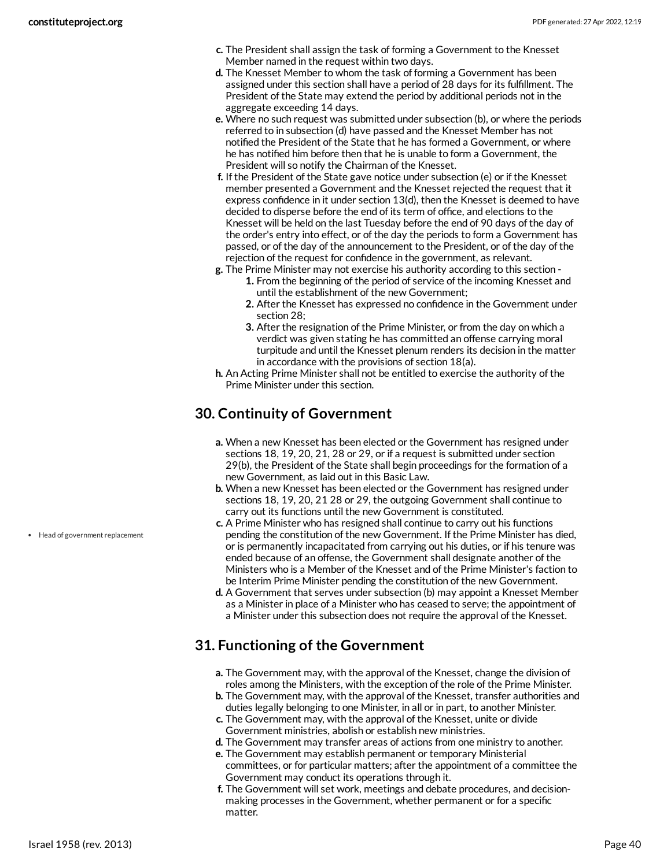- **c.** The President shall assign the task of forming a Government to the Knesset Member named in the request within two days.
- **d.** The Knesset Member to whom the task of forming a Government has been assigned under this section shall have a period of 28 days for its fulfillment. The President of the State may extend the period by additional periods not in the aggregate exceeding 14 days.
- **e.** Where no such request was submitted under subsection (b), or where the periods referred to in subsection (d) have passed and the Knesset Member has not notified the President of the State that he has formed a Government, or where he has notified him before then that he is unable to form a Government, the President will so notify the Chairman of the Knesset.
- **f.** If the President of the State gave notice under subsection (e) or if the Knesset member presented a Government and the Knesset rejected the request that it express confidence in it under section 13(d), then the Knesset is deemed to have decided to disperse before the end of its term of office, and elections to the Knesset will be held on the last Tuesday before the end of 90 days of the day of the order's entry into effect, or of the day the periods to form a Government has passed, or of the day of the announcement to the President, or of the day of the rejection of the request for confidence in the government, as relevant.
- **g.** The Prime Minister may not exercise his authority according to this section **1.** From the beginning of the period of service of the incoming Knesset and until the establishment of the new Government;
	- **2.** After the Knesset has expressed no confidence in the Government under section 28;
	- **3.** After the resignation of the Prime Minister, or from the day on which a verdict was given stating he has committed an offense carrying moral turpitude and until the Knesset plenum renders its decision in the matter in accordance with the provisions of section 18(a).
- **h.** An Acting Prime Minister shall not be entitled to exercise the authority of the Prime Minister under this section.

### <span id="page-39-0"></span>**30. Continuity of Government**

- **a.** When a new Knesset has been elected or the Government has resigned under sections 18, 19, 20, 21, 28 or 29, or if a request is submitted under section 29(b), the President of the State shall begin proceedings for the formation of a new Government, as laid out in this Basic Law.
- **b.** When a new Knesset has been elected or the Government has resigned under sections 18, 19, 20, 21 28 or 29, the outgoing Government shall continue to carry out its functions until the new Government is constituted.
- **c.** A Prime Minister who has resigned shall continue to carry out his functions pending the constitution of the new Government. If the Prime Minister has died, or is permanently incapacitated from carrying out his duties, or if his tenure was ended because of an offense, the Government shall designate another of the Ministers who is a Member of the Knesset and of the Prime Minister's faction to be Interim Prime Minister pending the constitution of the new Government.
- **d.** A Government that serves under subsection (b) may appoint a Knesset Member as a Minister in place of a Minister who has ceased to serve; the appointment of a Minister under this subsection does not require the approval of the Knesset.

### <span id="page-39-1"></span>**31. Functioning of the Government**

- **a.** The Government may, with the approval of the Knesset, change the division of roles among the Ministers, with the exception of the role of the Prime Minister.
- **b.** The Government may, with the approval of the Knesset, transfer authorities and duties legally belonging to one Minister, in all or in part, to another Minister.
- **c.** The Government may, with the approval of the Knesset, unite or divide Government ministries, abolish or establish new ministries.
- **d.** The Government may transfer areas of actions from one ministry to another.
- **e.** The Government may establish permanent or temporary Ministerial committees, or for particular matters; after the appointment of a committee the Government may conduct its operations through it.
- **f.** The Government will set work, meetings and debate procedures, and decisionmaking processes in the Government, whether permanent or for a specific matter.

Head of government replacement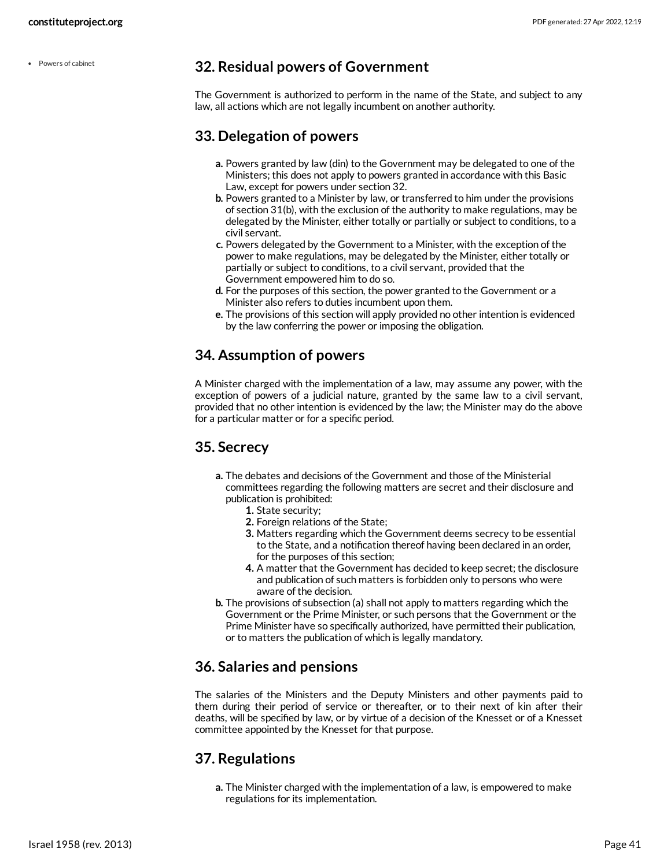Powers of cabinet

### <span id="page-40-0"></span>**32. Residual powers of Government**

The Government is authorized to perform in the name of the State, and subject to any law, all actions which are not legally incumbent on another authority.

### <span id="page-40-1"></span>**33. Delegation of powers**

- **a.** Powers granted by law (din) to the Government may be delegated to one of the Ministers; this does not apply to powers granted in accordance with this Basic Law, except for powers under section 32.
- **b.** Powers granted to a Minister by law, or transferred to him under the provisions of section 31(b), with the exclusion of the authority to make regulations, may be delegated by the Minister, either totally or partially or subject to conditions, to a civil servant.
- **c.** Powers delegated by the Government to a Minister, with the exception of the power to make regulations, may be delegated by the Minister, either totally or partially or subject to conditions, to a civil servant, provided that the Government empowered him to do so.
- **d.** For the purposes of this section, the power granted to the Government or a Minister also refers to duties incumbent upon them.
- **e.** The provisions of this section will apply provided no other intention is evidenced by the law conferring the power or imposing the obligation.

### <span id="page-40-2"></span>**34. Assumption of powers**

A Minister charged with the implementation of a law, may assume any power, with the exception of powers of a judicial nature, granted by the same law to a civil servant, provided that no other intention is evidenced by the law; the Minister may do the above for a particular matter or for a specific period.

### <span id="page-40-3"></span>**35. Secrecy**

- **a.** The debates and decisions of the Government and those of the Ministerial committees regarding the following matters are secret and their disclosure and publication is prohibited:
	- **1.** State security;
	- **2.** Foreign relations of the State;
	- **3.** Matters regarding which the Government deems secrecy to be essential to the State, and a notification thereof having been declared in an order, for the purposes of this section;
	- **4.** A matter that the Government has decided to keep secret; the disclosure and publication of such matters is forbidden only to persons who were aware of the decision.
- **b.** The provisions of subsection (a) shall not apply to matters regarding which the Government or the Prime Minister, or such persons that the Government or the Prime Minister have so specifically authorized, have permitted their publication, or to matters the publication of which is legally mandatory.

### <span id="page-40-4"></span>**36. Salaries and pensions**

The salaries of the Ministers and the Deputy Ministers and other payments paid to them during their period of service or thereafter, or to their next of kin after their deaths, will be specified by law, or by virtue of a decision of the Knesset or of a Knesset committee appointed by the Knesset for that purpose.

### <span id="page-40-5"></span>**37. Regulations**

**a.** The Minister charged with the implementation of a law, is empowered to make regulations for its implementation.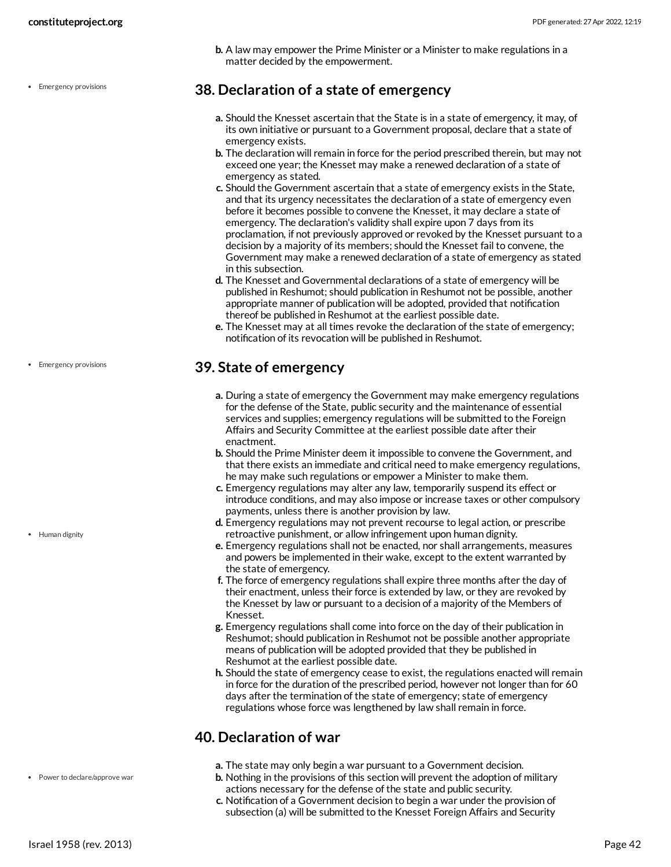**b.** A law may empower the Prime Minister or a Minister to make regulations in a matter decided by the empowerment.

### <span id="page-41-0"></span>**38. Declaration of a state of emergency**

- **a.** Should the Knesset ascertain that the State is in a state of emergency, it may, of its own initiative or pursuant to a Government proposal, declare that a state of emergency exists.
- **b.** The declaration will remain in force for the period prescribed therein, but may not exceed one year; the Knesset may make a renewed declaration of a state of emergency as stated.
- **c.** Should the Government ascertain that a state of emergency exists in the State, and that its urgency necessitates the declaration of a state of emergency even before it becomes possible to convene the Knesset, it may declare a state of emergency. The declaration's validity shall expire upon 7 days from its proclamation, if not previously approved or revoked by the Knesset pursuant to a decision by a majority of its members; should the Knesset fail to convene, the Government may make a renewed declaration of a state of emergency as stated in this subsection.
- **d.** The Knesset and Governmental declarations of a state of emergency will be published in Reshumot; should publication in Reshumot not be possible, another appropriate manner of publication will be adopted, provided that notification thereof be published in Reshumot at the earliest possible date.
- **e.** The Knesset may at all times revoke the declaration of the state of emergency; notification of its revocation will be published in Reshumot.

### <span id="page-41-1"></span>**39. State of emergency**

- **a.** During a state of emergency the Government may make emergency regulations for the defense of the State, public security and the maintenance of essential services and supplies; emergency regulations will be submitted to the Foreign Affairs and Security Committee at the earliest possible date after their enactment.
- **b.** Should the Prime Minister deem it impossible to convene the Government, and that there exists an immediate and critical need to make emergency regulations, he may make such regulations or empower a Minister to make them.
- **c.** Emergency regulations may alter any law, temporarily suspend its effect or introduce conditions, and may also impose or increase taxes or other compulsory payments, unless there is another provision by law.
- **d.** Emergency regulations may not prevent recourse to legal action, or prescribe retroactive punishment, or allow infringement upon human dignity.
- **e.** Emergency regulations shall not be enacted, nor shall arrangements, measures and powers be implemented in their wake, except to the extent warranted by the state of emergency.
- **f.** The force of emergency regulations shall expire three months after the day of their enactment, unless their force is extended by law, or they are revoked by the Knesset by law or pursuant to a decision of a majority of the Members of Knesset.
- **g.** Emergency regulations shall come into force on the day of their publication in Reshumot; should publication in Reshumot not be possible another appropriate means of publication will be adopted provided that they be published in Reshumot at the earliest possible date.
- **h.** Should the state of emergency cease to exist, the regulations enacted will remain in force for the duration of the prescribed period, however not longer than for 60 days after the termination of the state of emergency; state of emergency regulations whose force was lengthened by law shall remain in force.

### <span id="page-41-2"></span>**40. Declaration of war**

- **a.** The state may only begin a war pursuant to a Government decision.
- **b.** Nothing in the provisions of this section will prevent the adoption of military actions necessary for the defense of the state and public security.
- **c.** Notification of a Government decision to begin a war under the provision of subsection (a) will be submitted to the Knesset Foreign Affairs and Security

• Emergency provisions

• Emergency provisions

• Human dignity

Power to declare/approve war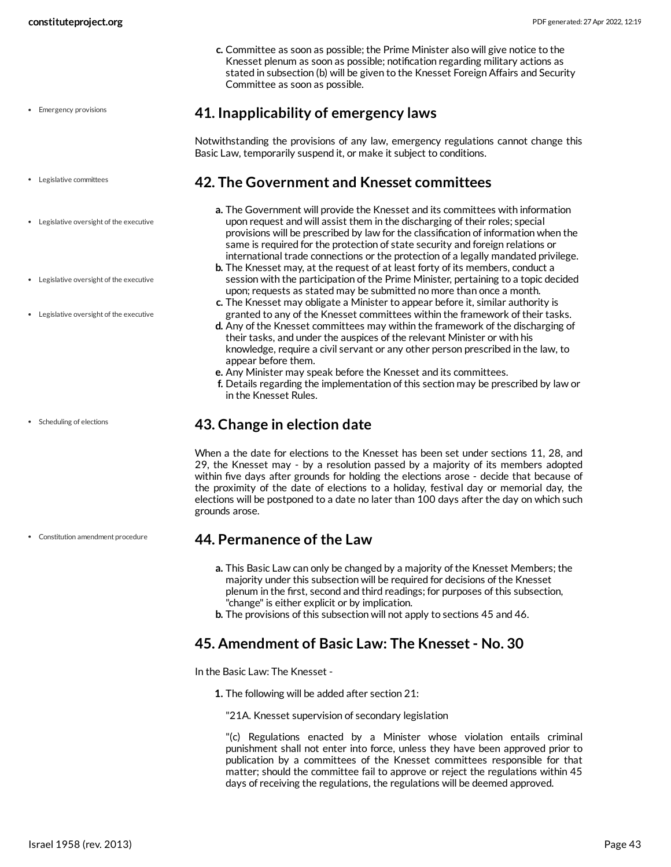**c.** Committee as soon as possible; the Prime Minister also will give notice to the Knesset plenum as soon as possible; notification regarding military actions as stated in subsection (b) will be given to the Knesset Foreign Affairs and Security Committee as soon as possible.

- Emergency provisions
- Legislative committees
- Legislative oversight of the executive
- Legislative oversight of the executive
- Legislative oversight of the executive

Scheduling of elections

Constitution amendment procedure

<span id="page-42-0"></span>**41. Inapplicability of emergency laws**

Notwithstanding the provisions of any law, emergency regulations cannot change this Basic Law, temporarily suspend it, or make it subject to conditions.

### <span id="page-42-1"></span>**42. The Government and Knesset committees**

- **a.** The Government will provide the Knesset and its committees with information upon request and will assist them in the discharging of their roles; special provisions will be prescribed by law for the classification of information when the same is required for the protection of state security and foreign relations or international trade connections or the protection of a legally mandated privilege.
- **b.** The Knesset may, at the request of at least forty of its members, conduct a session with the participation of the Prime Minister, pertaining to a topic decided upon; requests as stated may be submitted no more than once a month.
- **c.** The Knesset may obligate a Minister to appear before it, similar authority is granted to any of the Knesset committees within the framework of their tasks.
- **d.** Any of the Knesset committees may within the framework of the discharging of their tasks, and under the auspices of the relevant Minister or with his knowledge, require a civil servant or any other person prescribed in the law, to appear before them.
- **e.** Any Minister may speak before the Knesset and its committees.
- **f.** Details regarding the implementation of this section may be prescribed by law or in the Knesset Rules.

### <span id="page-42-2"></span>**43. Change in election date**

When a the date for elections to the Knesset has been set under sections 11, 28, and 29, the Knesset may - by a resolution passed by a majority of its members adopted within five days after grounds for holding the elections arose - decide that because of the proximity of the date of elections to a holiday, festival day or memorial day, the elections will be postponed to a date no later than 100 days after the day on which such grounds arose.

### <span id="page-42-3"></span>**44. Permanence of the Law**

- **a.** This Basic Law can only be changed by a majority of the Knesset Members; the majority under this subsection will be required for decisions of the Knesset plenum in the first, second and third readings; for purposes of this subsection, "change" is either explicit or by implication.
- **b.** The provisions of this subsection will not apply to sections 45 and 46.

### <span id="page-42-4"></span>**45. Amendment of Basic Law: The Knesset - No. 30**

In the Basic Law: The Knesset -

**1.** The following will be added after section 21:

"21A. Knesset supervision of secondary legislation

"(c) Regulations enacted by a Minister whose violation entails criminal punishment shall not enter into force, unless they have been approved prior to publication by a committees of the Knesset committees responsible for that matter; should the committee fail to approve or reject the regulations within 45 days of receiving the regulations, the regulations will be deemed approved.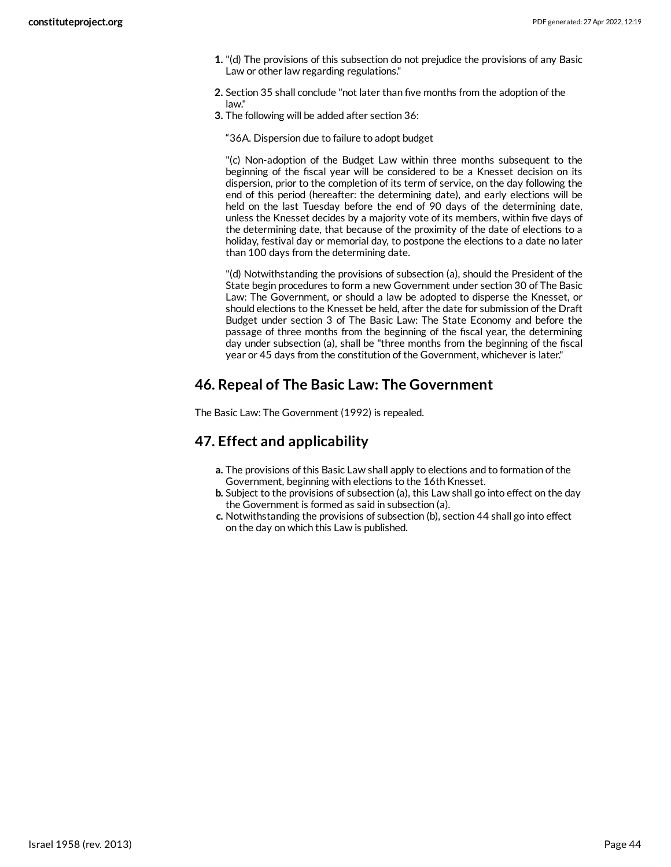- **1.** "(d) The provisions of this subsection do not prejudice the provisions of any Basic Law or other law regarding regulations."
- **2.** Section 35 shall conclude "not later than five months from the adoption of the law."
- **3.** The following will be added after section 36:

"36A. Dispersion due to failure to adopt budget

"(c) Non-adoption of the Budget Law within three months subsequent to the beginning of the fiscal year will be considered to be a Knesset decision on its dispersion, prior to the completion of its term of service, on the day following the end of this period (hereafter: the determining date), and early elections will be held on the last Tuesday before the end of 90 days of the determining date, unless the Knesset decides by a majority vote of its members, within five days of the determining date, that because of the proximity of the date of elections to a holiday, festival day or memorial day, to postpone the elections to a date no later than 100 days from the determining date.

"(d) Notwithstanding the provisions of subsection (a), should the President of the State begin procedures to form a new Government under section 30 of The Basic Law: The Government, or should a law be adopted to disperse the Knesset, or should elections to the Knesset be held, after the date for submission of the Draft Budget under section 3 of The Basic Law: The State Economy and before the passage of three months from the beginning of the fiscal year, the determining day under subsection (a), shall be "three months from the beginning of the fiscal year or 45 days from the constitution of the Government, whichever is later."

### <span id="page-43-0"></span>**46. Repeal of The Basic Law: The Government**

The Basic Law: The Government (1992) is repealed.

### <span id="page-43-1"></span>**47. Effect and applicability**

- **a.** The provisions of this Basic Law shall apply to elections and to formation of the Government, beginning with elections to the 16th Knesset.
- **b.** Subject to the provisions of subsection (a), this Law shall go into effect on the day the Government is formed as said in subsection (a).
- **c.** Notwithstanding the provisions of subsection (b), section 44 shall go into effect on the day on which this Law is published.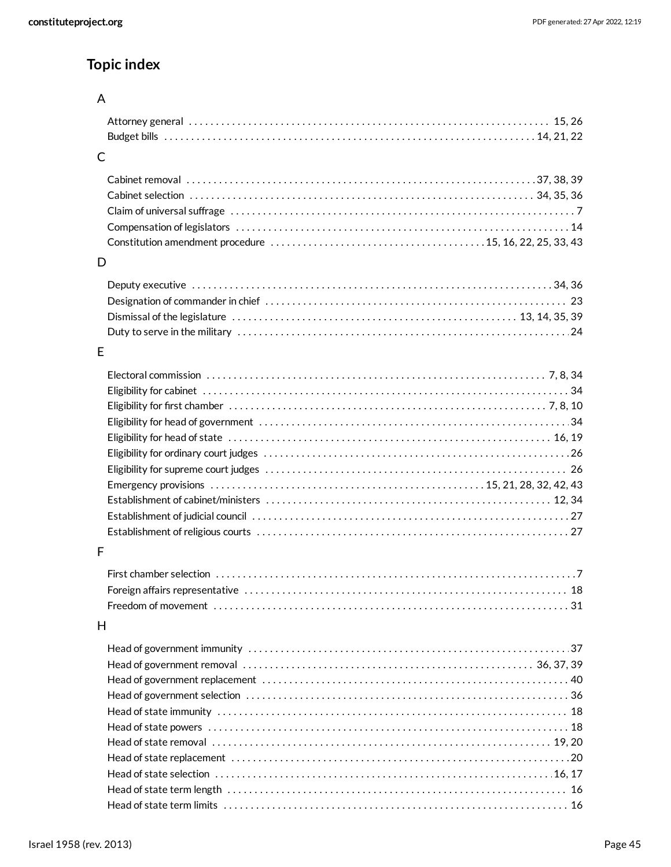## **Topic index**

### A

### C

### D

### E

### F

### H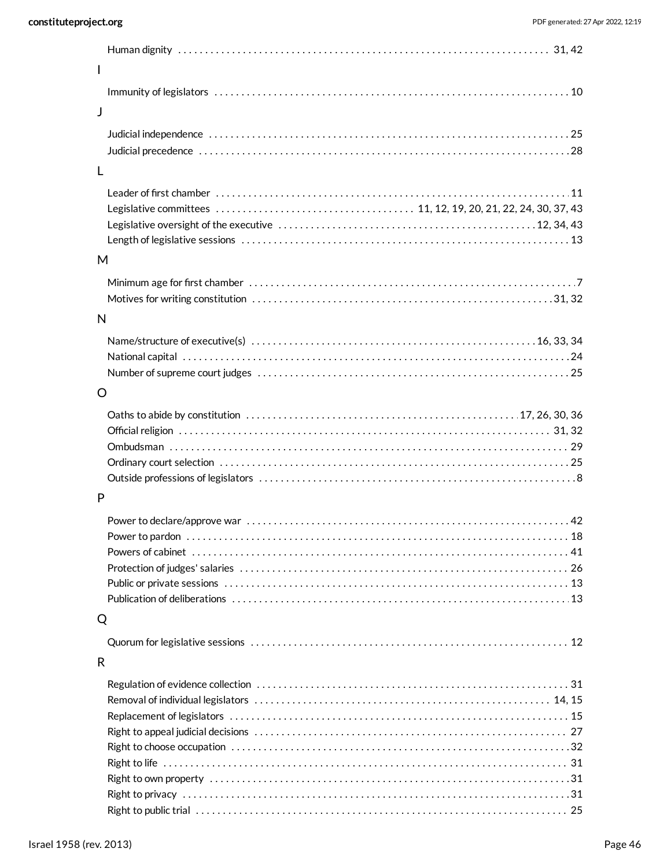| I            |  |
|--------------|--|
|              |  |
| J            |  |
|              |  |
|              |  |
| L            |  |
|              |  |
|              |  |
|              |  |
|              |  |
|              |  |
| M            |  |
|              |  |
|              |  |
| N            |  |
|              |  |
|              |  |
|              |  |
| O            |  |
|              |  |
|              |  |
|              |  |
|              |  |
|              |  |
| P            |  |
|              |  |
|              |  |
|              |  |
|              |  |
|              |  |
|              |  |
| Q            |  |
|              |  |
| $\mathsf{R}$ |  |
|              |  |
|              |  |
|              |  |
|              |  |
|              |  |
|              |  |
|              |  |
|              |  |

[25](#page-24-7) Right to public trial . . . . . . . . . . . . . . . . . . . . . . . . . . . . . . . . . . . . . . . . . . . . . . . . . . . . . . . . . . . . . . . . . . . . .